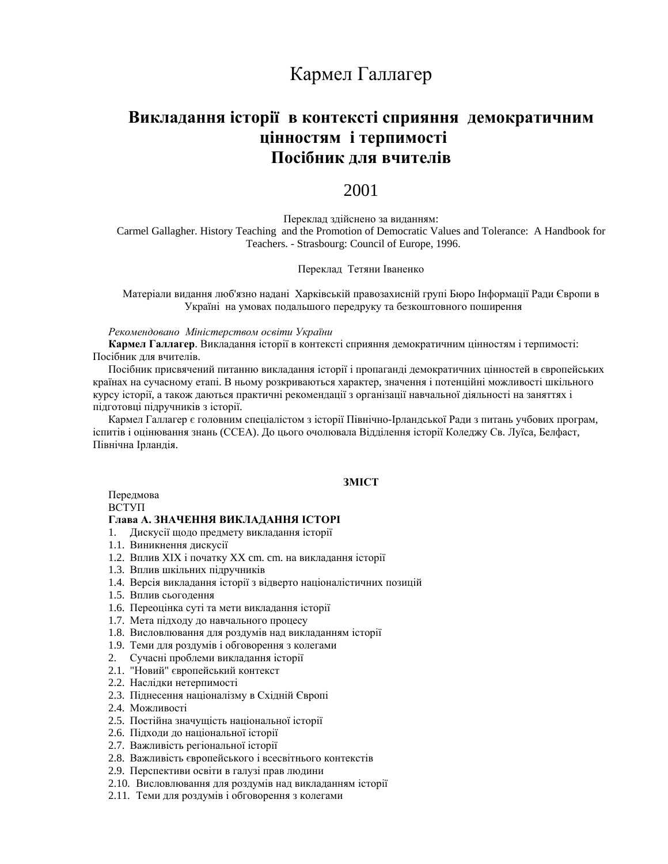# Кармел Галлагер

# Викладання історії в контексті сприяння демократичним **ИЙНИ 1 ТЕРПИМОСТІ** Посібник для вчителів

## 2001

Переклад здійснено за виданням: Carmel Gallagher. History Teaching and the Promotion of Democratic Values and Tolerance: A Handbook for Teachers. - Strasbourg: Council of Europe, 1996.

#### Переклад Тетяни Іваненко

Матеріали видання люб'язно надані Харківській правозахисній групі Бюро Інформації Ради Європи в Україні на умовах подальшого передруку та безкоштовного поширення

Рекомендовано Міністерством освіти України

Кармел Галлагер. Викладання історії в контексті сприяння демократичним цінностям і терпимості: Посібник для вчителів.

Посібник присвячений питанню викладання історії і пропаганді демократичних цінностей в європейських країнах на сучасному етапі. В ньому розкриваються характер, значення і потенційні можливості шкільного курсу історії, а також даються практичні рекомендації з організації навчальної діяльності на заняттях і підготовці підручників з історії.

Кармел Галлагер є головним спеціалістом з історії Північно-Ірландської Ради з питань учбових програм, іспитів і оцінювання знань (ССЕА). До цього очолювала Відділення історії Коледжу Св. Луїса, Белфаст, Північна Ірландія.

## 3MICT

Передмова **BCTVII** 

#### **Глава А. ЗНАЧЕННЯ ВИКЛАДАННЯ ІСТОРІ**

- 1. Дискусії щодо предмету викладання історії
- 1.1. Виникнення дискусії
- 1.2. Вплив XIX і початку XX cm. cm. на викладання історії
- 1.3. Вплив шкільних підручників
- 1.4. Версія викладання історії з відверто націоналістичних позицій
- 1.5. Вплив сьогодення
- 1.6. Переоцінка суті та мети викладання історії
- 1.7. Мета підходу до навчального процесу
- 1.8. Висловлювання для роздумів над викладанням історії
- 1.9. Теми для роздумів і обговорення з колегами
- 2. Сучасні проблеми викладання історії
- 2.1. "Новий" європейський контекст
- 2.2. Наслідки нетерпимості
- 2.3. Піднесення націоналізму в Східній Європі
- 2.4. Можливості
- 2.5. Постійна значущість національної історії
- 2.6. Підходи до національної історії
- 2.7. Важливість регіональної історії
- 2.8. Важливість європейського і всесвітнього контекстів
- 2.9. Перспективи освіти в галузі прав людини
- 2.10. Висловлювання для роздумів над викладанням історії
- 2.11. Теми для роздумів і обговорення з колегами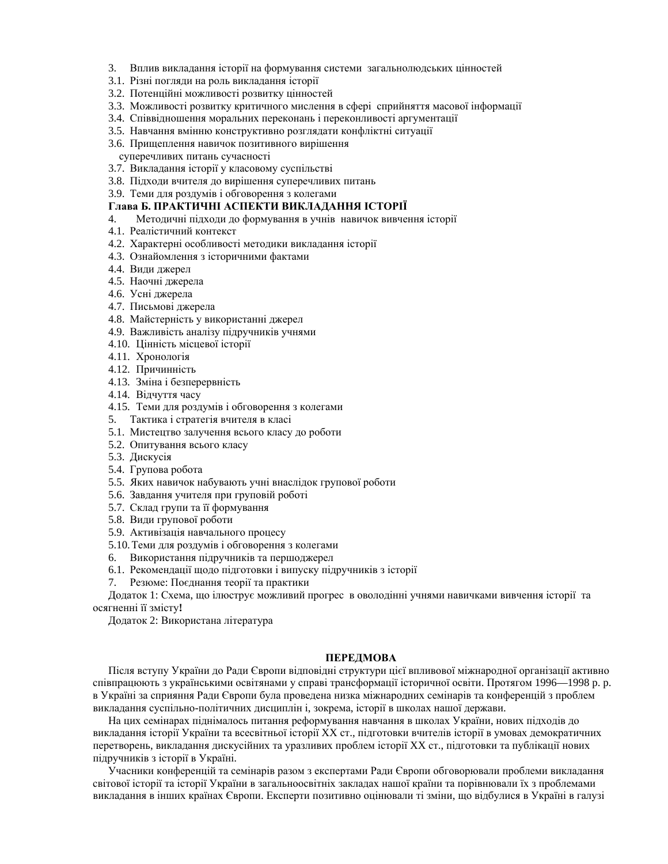- 3. Вплив викладання історії на формування системи загальнолюдських цінностей
- 3.1. Різні погляди на роль викладання історії
- 3.2. Потенційні можливості розвитку цінностей
- 3.3. Можливості розвитку критичного мислення в сфері сприйняття масової інформації
- 3.4. Співвідношення моральних переконань і переконливості аргументації
- 3.5. Навчання вмінню конструктивно розглядати конфліктні ситуації
- 3.6. Прищеплення навичок позитивного вирішення
- суперечливих питань сучасності
- 3.7. Викладання історії у класовому суспільстві
- 3.8. Підходи вчителя до вирішення суперечливих питань
- 3.9. Теми для роздумів і обговорення з колегами

## **Глава Б. ПРАКТИЧНІ АСПЕКТИ ВИКЛАДАННЯ ІСТОРІЇ**

- 4. Методичні підходи до формування в учнів навичок вивчення історії
- 4.1. Реалістичний контекст
- 4.2. Характерні особливості методики викладання історії
- 4.3. Ознайомлення з історичними фактами
- 4.4. Види джерел
- 4.5. Наочні джерела
- 4.6. Усні джерела
- 4.7. Письмові джерела
- 4.8. Майстерність у використанні джерел
- 4.9. Важливість аналізу підручників учнями
- 4.10. Цінність місцевої історії
- 4.11. Хронологія
- 4.12. Причинність
- 4.13. Зміна і безперервність
- 4.14. Відчуття часу
- 4.15. Теми для роздумів і обговорення з колегами
- 5. Тактика і стратегія вчителя в класі
- 5.1. Мистецтво залучення всього класу до роботи
- 5.2. Опитування всього класу
- 5.3. Дискусія
- 5.4. Групова робота
- 5.5. Яких навичок набувають учні внаслідок групової роботи
- 5.6. Завдання учителя при груповій роботі
- 5.7. Склад групи та її формування
- 5.8. Види групової роботи
- 5.9. Активізація навчального процесу
- 5.10. Теми для роздумів і обговорення з колегами
- 6. Використання підручників та першоджерел
- 6.1. Рекомендації щодо підготовки і випуску підручників з історії
- 7. Резюме: Поєднання теорії та практики

Додаток 1: Схема, що ілюструє можливий прогрес в оволодінні учнями навичками вивчення історії та осягненні її змісту!

Додаток 2: Використана література

## **ПЕРЕДМОВА**

Після вступу України до Ради Європи відповідні структури цієї впливової міжнародної організації активно співпрацюють з українськими освітянами у справі трансформації історичної освіти. Протягом 1996—1998 р. р. в Україні за сприяння Ради Європи була проведена низка міжнародних семінарів та конференцій з проблем викладання суспільно-політичних дисциплін і, зокрема, історії в школах нашої держави.

На цих семінарах піднімалось питання реформування навчання в школах України, нових підходів до викладання історії України та всесвітньої історії XX ст., підготовки вчителів історії в умовах демократичних перетворень, викладання дискусійних та уразливих проблем історії XX ст., підготовки та публікації нових підручників з історії в Україні.

Учасники конференцій та семінарів разом з експертами Ради Європи обговорювали проблеми викладання світової історії та історії України в загальноосвітніх закладах нашої країни та порівнювали їх з проблемами викладання в інших країнах Європи. Експерти позитивно оцінювали ті зміни, що відбулися в Україні в галузі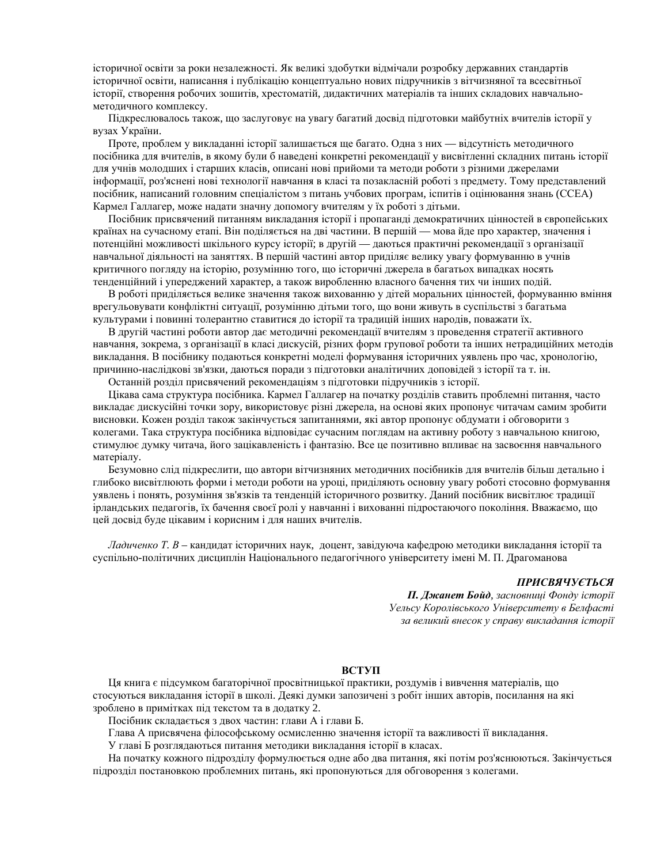історичної освіти за роки незалежності. Як великі здобутки відмічали розробку державних стандартів історичної освіти, написання і публікацію концептуально нових підручників з вітчизняної та всесвітньої історії, створення робочих зошитів, хрестоматій, дидактичних матеріалів та інших складових навчальнометодичного комплексу.

Підкреслювалось також, що заслуговує на увагу багатий досвід підготовки майбутніх вчителів історії у вузах України.

Проте, проблем у викладанні історії залишається ще багато. Одна з них — відсутність методичного посібника для вчителів, в якому були б наведені конкретні рекомендації у висвітленні складних питань історії для учнів молодших і старших класів, описані нові прийоми та методи роботи з різними джерелами інформації, роз'яснені нові технології навчання в класі та позакласній роботі з предмету. Тому представлений посібник, написаний головним спеціалістом з питань учбових програм, іспитів і оцінювання знань (ССЕА) Кармел Галлагер, може надати значну допомогу вчителям у їх роботі з дітьми.

Посібник присвячений питанням викладання історії і пропаганді демократичних цінностей в європейських країнах на сучасному етапі. Він поділяється на дві частини. В першій — мова йде про характер, значення і потенційні можливості шкільного курсу історії; в другій — даються практичні рекомендації з організації навчальної діяльності на заняттях. В першій частині автор приділяє велику увагу формуванню в учнів критичного погляду на історію, розумінню того, що історичні джерела в багатьох випадках носять тенденційний і упереджений характер, а також виробленню власного бачення тих чи інших подій.

В роботі приділяється велике значення також вихованню у дітей моральних цінностей, формуванню вміння врегульовувати конфліктні ситуації, розумінню дітьми того, що вони живуть в суспільстві з багатьма культурами і повинні толерантно ставитися до історії та традицій інших народів, поважати їх.

В другій частині роботи автор дає методичні рекомендації вчителям з проведення стратегії активного навчання, зокрема, з організації в класі дискусій, різних форм групової роботи та інших нетрадиційних методів викладання. В посібнику подаються конкретні моделі формування історичних уявлень про час, хронологію, причинно-наслідкові зв'язки, даються поради з підготовки аналітичних доповідей з історії та т. ін.

Останній розділ присвячений рекомендаціям з підготовки підручників з історії.

Цікава сама структура посібника. Кармел Галлагер на початку розділів ставить проблемні питання, часто викладає дискусійні точки зору, використовує різні джерела, на основі яких пропонує читачам самим зробити висновки. Кожен розділ також закінчується запитаннями, які автор пропонує обдумати і обговорити з колегами. Така структура посібника відповідає сучасним поглядам на активну роботу з навчальною книгою, стимулює думку читача, його зацікавленість і фантазію. Все це позитивно впливає на засвоєння навчального матеріалу.

Безумовно слід підкреслити, що автори вітчизняних методичних посібників для вчителів більш детально і глибоко висвітлюють форми і методи роботи на уроці, приділяють основну увагу роботі стосовно формування уявлень і понять, розуміння зв'язків та тенденцій історичного розвитку. Даний посібник висвітлює традиції ірландських педагогів, їх бачення своєї ролі у навчанні і вихованні підростаючого покоління. Вважаємо, що цей досвід буде цікавим і корисним і для наших вчителів.

*Ладиченко Т. В* – кандидат історичних наук, доцент, завідуюча кафедрою методики викладання історії та суспільно-політичних дисциплін Національного педагогічного університету імені М. П. Драгоманова

#### ПРИСВЯЧУЄТЬСЯ

**П. Джанет Бойд**, засновниці Фонду історії Уельсу Королівського Університету в Белфасті за великий внесок у справу викладання *історії* 

## **ВСТУП**

Ця книга є підсумком багаторічної просвітницької практики, роздумів і вивчення матеріалів, що стосуються викладання історії в школі. Деякі думки запозичені з робіт інших авторів, посилання на які зроблено в примітках під текстом та в додатку 2.

Посібник складається з двох частин: глави А і глави Б.

Глава А присвячена філософському осмисленню значення історії та важливості її викладання.

У главі Б розглялаються питання метолики виклалання історії в класах.

На початку кожного підрозділу формулюється одне або два питання, які потім роз'яснюються. Закінчується підрозділ постановкою проблемних питань, які пропонуються для обговорення з колегами.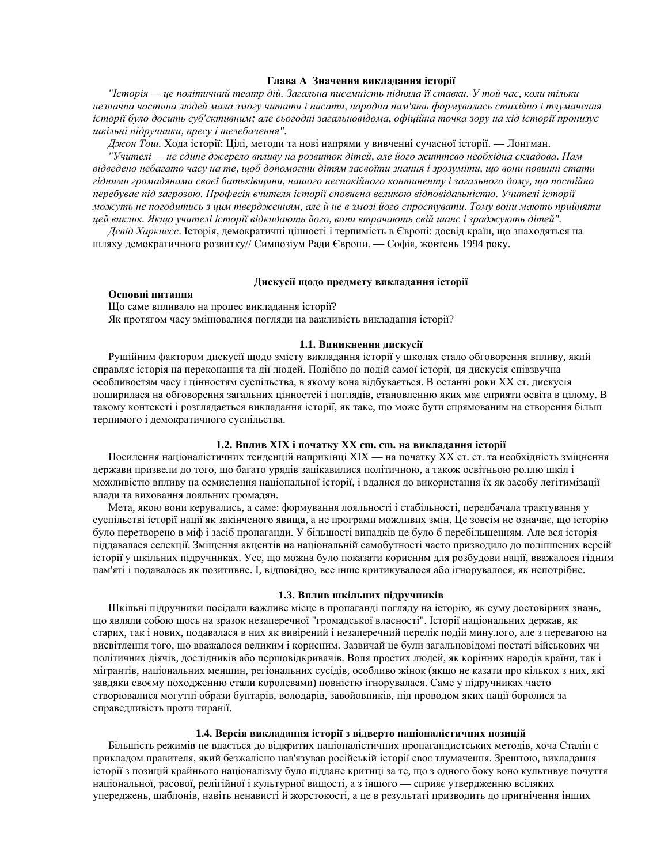#### **Глава А Значення виклалання історії**

<sup>"</sup>*Исторія — це політичний театр дій. Загальна писемність підняла її ставки. У той час, коли тільки* незначна частина людей мала змогу читати і писати, народна пам'ять формувалась стихійно і тлумачення iсторії було досить суб'єктивним; але сьогодні загальновідома, офіційна точка зору на хід історії пронизує *ɲɤɿɥɶɧɿ ɩɿɞɪɭɱɧɢɤɢ, ɩɪɟɫɭ ɿ ɬɟɥɟɛɚɱɟɧɧɹ".* 

Джон Тош. Хода історії: Цілі, методи та нові напрями у вивченні сучасної історії. — Лонгман.

"Учителі — не єдине джерело впливу на розвиток дітей, але його життєво необхідна складова. Нам  $s$ iд $s$ eдено небагато часу на те, щоб допомогти дiтям засвоїти знання і зрозуміти, що вони повинні стати  $i$ ддними громадянами своєї батьківщини, нашого неспокійного континенту і загального дому, що постійно *перебуває під загрозою. Професія вчителя історії сповнена великою відповідальністю. Учителі історії* можуть не погодитись з иим твердженням, але й не в змозі його спростувати. Тому вони мають прийняти ией виклик. Якшо учителі історії відкидають його, вони втрачають свій шанс і зраджують дітей".

Девід Харкнесс. Історія, демократичні цінності і терпимість в Європі: досвід країн, що знаходяться на шляху демократичного розвитку// Симпозіум Ради Європи. — Софія, жовтень 1994 року.

## Дискусії щодо предмету викладання історії

## Основні питання

Що саме впливало на процес викладання історії? Як протягом часу змінювалися погляди на важливість викладання історії?

#### 1.1. Виникнення дискусії

Рушійним фактором дискусії щодо змісту викладання історії у школах стало обговорення впливу, який справляє історія на переконання та дії людей. Подібно до подій самої історії, ця дискусія співзвучна особливостям часу і цінностям суспільства, в якому вона відбувається. В останні роки XX ст. дискусія поширилася на обговорення загальних цінностей і поглядів, становленню яких має сприяти освіта в цілому. В такому контексті і розглядається викладання історії, як таке, що може бути спрямованим на створення більш терпимого і демократичного суспільства.

## 1.2. Вплив XIX і початку XX cm. cm. на викладання історії

Посилення націоналістичних тенденцій наприкінці XIX — на початку XX ст. ст. та необхідність зміцнення держави призвели до того, що багато урядів зацікавилися політичною, а також освітньою роллю шкіл і можливістю впливу на осмислення національної історії, і вдалися до використання їх як засобу легітимізації влади та виховання лояльних громадян.

Мета, якою вони керувались, а саме: формування лояльності і стабільності, передбачала трактування у суспільстві історії нації як закінченого явища, а не програми можливих змін. Це зовсім не означає, що історію було перетворено в міф і засіб пропаганди. У більшості випадків це було б перебільшенням. Але вся історія піддавалася селекції. Зміщення акцентів на національній самобутності часто призводило до поліпшених версій історії у шкільних підручниках. Усе, що можна було показати корисним для розбудови нації, вважалося гідним пам'яті і подавалось як позитивне. І, відповідно, все інше критикувалося або ігнорувалося, як непотрібне.

#### 1.3. Вплив шкільних підручників

Шкільні підручники посідали важливе місце в пропаганді погляду на історію, як суму достовірних знань, що являли собою щось на зразок незаперечної "громадської власності". Історії національних держав, як старих, так і нових, подавалася в них як вивірений і незаперечний перелік подій минулого, але з перевагою на висвітлення того, що вважалося великим і корисним. Зазвичай це були загальновідомі постаті військових чи політичних діячів, дослідників або першовідкривачів. Воля простих людей, як корінних народів країни, так і мігрантів, національних меншин, регіональних сусідів, особливо жінок (якщо не казати про кількох з них, які завдяки своєму походженню стали королевами) повністю ігнорувалася. Саме у підручниках часто створювалися могутні образи бунтарів, володарів, завойовників, під проводом яких нації боролися за справедливість проти тиранії.

#### 1.4. Версія викладання історії з відверто націоналістичних позицій

Більшість режимів не влається ло вілкритих націоналістичних пропаганлистських метолів, хоча Сталін є прикладом правителя, який безжалісно нав'язував російській історії своє тлумачення. Зрештою, викладання історії з позицій крайнього націоналізму було піддане критиці за те, що з одного боку воно культивує почуття національної, расової, релігійної і культурної вищості, а з іншого — сприяє утвердженню всіляких упереджень, шаблонів, навіть ненависті й жорстокості, а це в результаті призводить до пригнічення інших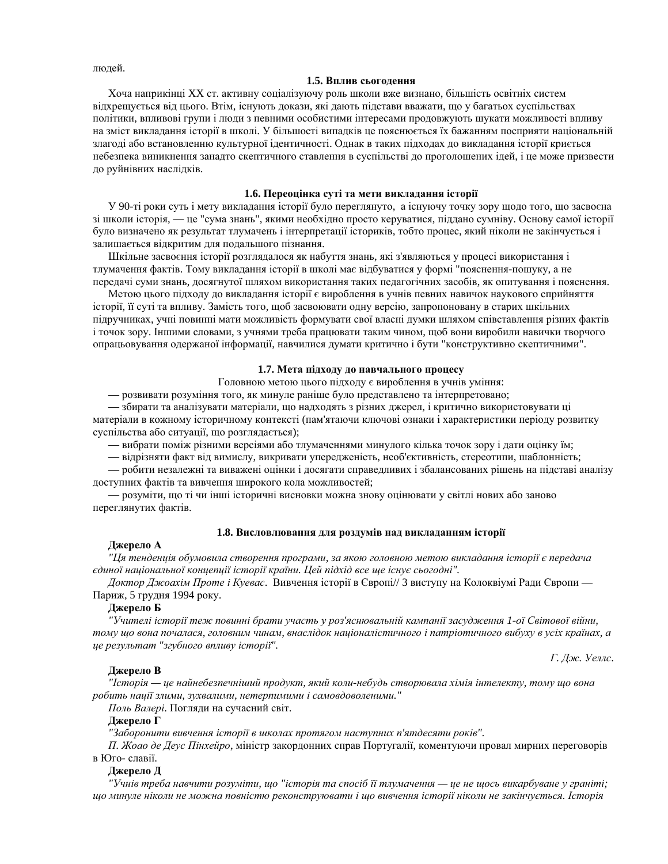люлей.

#### **1.5. Вплив сьоголення**

Хоча наприкінці XX ст. активну соціалізуючу роль школи вже визнано, більшість освітніх систем відхрещується від цього. Втім, існують докази, які дають підстави вважати, що у багатьох суспільствах політики, впливові групи і люди з певними особистими інтересами продовжують шукати можливості впливу на зміст викладання історії в школі. У більшості випадків це пояснюється їх бажанням посприяти національній злагоді або встановленню культурної ідентичності. Однак в таких підходах до викладання історії криється небезпека виникнення занадто скептичного ставлення в суспільстві до проголошених ідей, і це може призвести до руйнівних наслідків.

## 1.6. Переоцінка суті та мети викладання історії

У 90-ті роки суть і мету викладання історії було переглянуто, а існуючу точку зору щодо того, що засвоєна зі школи історія, — це "сума знань", якими необхідно просто керуватися, піддано сумніву. Основу самої історії було визначено як результат тлумачень і інтерпретації істориків, тобто процес, який ніколи не закінчується і залишається відкритим для подальшого пізнання.

Шкільне засвоєння історії розглядалося як набуття знань, які з'являються у процесі використання і тлумачення фактів. Тому викладання історії в школі має відбуватися у формі "пояснення-пошуку, а не передачі суми знань, досягнутої шляхом використання таких педагогічних засобів, як опитування і пояснення.

Метою цього підходу до викладання історії є вироблення в учнів певних навичок наукового сприйняття історії, її суті та впливу. Замість того, щоб засвоювати одну версію, запропоновану в старих шкільних підручниках, учні повинні мати можливість формувати свої власні думки шляхом співставлення різних фактів і точок зору. Іншими словами, з учнями треба працювати таким чином, щоб вони виробили навички творчого опрацьовування одержаної інформації, навчилися думати критично і бути "конструктивно скептичними".

#### 1.7. Мета підходу до навчального процесу

Головною метою цього підходу є вироблення в учнів уміння:

— розвивати розуміння того, як минуле раніше було представлено та інтерпретовано;

— збирати та аналізувати матеріали, що надходять з різних джерел, і критично використовувати ці матеріали в кожному історичному контексті (пам'ятаючи ключові ознаки і характеристики періоду розвитку суспільства або ситуації, що розглядається);

— вибрати поміж різними версіями або тлумаченнями минулого кілька точок зору і дати оцінку їм;

— відрізняти факт від вимислу, викривати упередженість, необ'єктивність, стереотипи, шаблонність;

— робити незалежні та виважені оцінки і досягати справедливих і збалансованих рішень на підставі аналізу доступних фактів та вивчення широкого кола можливостей;

- розуміти, що ті чи інші історичні висновки можна знову оцінювати у світлі нових або заново переглянутих фактів.

## 1.8. Висловлювання для роздумів над викладанням історії

#### Джерело А

"Ця тенденція обумовила створення програми, за якою головною метою викладання історії є передача  $ε$ диної національної концепції історії країни. Цей підхід все ще існує сьогодні".

Доктор Джоахім Проте і Куевас. Вивчення історії в Європі// 3 виступу на Колоквіумі Ради Європи — Париж, 5 грудня 1994 року.

## **Джерело Б**

*"ɍɱɢɬɟɥɿ ɿɫɬɨɪɿʀ ɬɟɠ ɩɨɜɢɧɧɿ ɛɪɚɬɢ ɭɱɚɫɬɶ ɭ ɪɨɡ'ɹɫɧɸɜɚɥɶɧɿɣ ɤɚɦɩɚɧɿʀ ɡɚɫɭɞɠɟɧɧɹ 1-ɨʀ ɋɜɿɬɨɜɨʀ ɜɿɣɧɢ, тому що вона почалася, головним чинам, внаслідок націоналістичного і патріотичного вибуху в усіх країнах, а ɰɟ ɪɟɡɭɥɶɬɚɬ "ɡɝɭɛɧɨɝɨ ɜɩɥɢɜɭ ɿɫɬɨɪɿʀ".*

*Г*. Дж. Уеллс.

#### Джерело В

<sup>"</sup>*Исторія — це найнебезпечніший продукт, який коли-небудь створювала хімія інтелекту, тому що вона*  $po$ бить нації злими, зухвалими, нетерпимими і самовдоволеними."

Поль Валері. Погляди на сучасний світ.

## Джерело Г

"Заборонити вивчення *історії в школах протягом наступних п'ятдесяти років"*.

*П. Жоао де Деус Пінхейро, міністр закордонних справ Португалії, коментуючи провал мирних переговорів* в Юго- славії.

## **Джерело Д**

*"ɍɱɧɿɜ ɬɪɟɛɚ ɧɚɜɱɢɬɢ ɪɨɡɭɦɿɬɢ, ɳɨ "ɿɫɬɨɪɿɹ ɬɚ ɫɩɨɫɿɛ ʀʀ ɬɥɭɦɚɱɟɧɧɹ — ɰɟ ɧɟ ɳɨɫɶ ɜɢɤɚɪɛɭɜɚɧɟ ɭ ɝɪɚɧɿɬɿ;*  $u$ 4 ишуле ніколи не можна повністю реконструювати і що вивчення історії ніколи не закінчується. Історія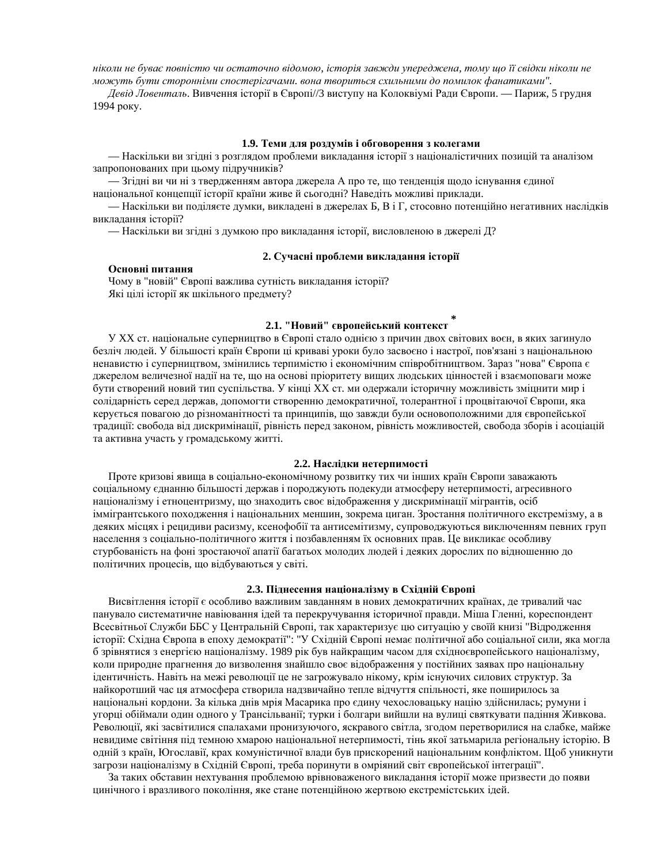*ніколи не буває повністю чи остаточно відомою, історія завжди упереджена, тому що її свідки ніколи не*  $M$ *ожуть бути сторонніми спостерігачами*. вона твориться схильними до помилок фанатиками".

Девід Ловенталь. Вивчення історії в Європі//3 виступу на Колоквіумі Ради Європи. — Париж, 5 грудня 1994 року.

### 1.9. Теми для роздумів і обговорення з колегами

— Наскільки ви згідні з розглядом проблеми викладання історії з націоналістичних позицій та аналізом запропонованих при цьому підручників?

— Згідні ви чи ні з твердженням автора джерела А про те, що тенденція щодо існування єдиної національної концепції історії країни живе й сьогодні? Наведіть можливі приклади.

— Наскільки ви поділяєте думки, викладені в джерелах Б, В і Г, стосовно потенційно негативних наслідків виклалання історії?

— Наскільки ви згідні з думкою про викладання історії, висловленою в джерелі Д?

## 2. Сучасні проблеми викладання історії

## Основні питання

Чому в "новій" Європі важлива сутність викладання історії? Які цілі історії як шкільного предмету?

### $2.1.$  "Новий" європейський контекст

У XX ст. національне суперництво в Європі стало однією з причин двох світових воєн, в яких загинуло безліч людей. У більшості країн Європи ці криваві уроки було засвоєно і настрої, пов'язані з національною ненавистю і суперництвом, змінились терпимістю і економічним співробітництвом. Зараз "нова" Європа є джерелом величезної надії на те, що на основі пріоритету вищих людських цінностей і взаємоповаги може бути створений новий тип суспільства. У кінці XX ст. ми одержали історичну можливість зміцнити мир і солідарність серед держав, допомогти створенню демократичної, толерантної і процвітаючої Європи, яка керується повагою до різноманітності та принципів, що завжди були основоположними для європейської традиції: свобода від дискримінації, рівність перед законом, рівність можливостей, свобода зборів і асоціацій та активна участь у громадському житті.

## 2.2. Наслідки нетерпимості

Проте кризові явища в соціально-економічному розвитку тих чи інших країн Європи заважають соціальному єднанню більшості держав і породжують подекуди атмосферу нетерпимості, агресивного націоналізму і етноцентризму, що знаходить своє відображення у дискримінації мігрантів, осіб іммігрантського походження і національних меншин, зокрема циган. Зростання політичного екстремізму, а в деяких місцях і рецидиви расизму, ксенофобії та антисемітизму, супроводжуються виключенням певних груп населення з соціально-політичного життя і позбавленням їх основних прав. Це викликає особливу стурбованість на фоні зростаючої апатії багатьох молодих людей і деяких дорослих по відношенню до політичних процесів, що відбуваються у світі.

#### 2.3. Піднесення націоналізму в Східній Європі

Висвітлення історії є особливо важливим завданням в нових демократичних країнах, де тривалий час панувало систематичне навіювання ідей та перекручування історичної правди. Міша Гленні, кореспондент Всесвітньої Служби ББС у Центральній Європі, так характеризує цю ситуацію у своїй книзі "Відродження історії: Східна Європа в епоху демократії": "У Східній Європі немає політичної або соціальної сили, яка могла б зрівнятися з енергією націоналізму. 1989 рік був найкращим часом для східноєвропейського націоналізму, коли природне прагнення до визволення знайшло своє відображення у постійних заявах про національну ідентичність. Навіть на межі революції це не загрожувало нікому, крім існуючих силових структур. За найкоротший час ця атмосфера створила надзвичайно тепле відчуття спільності, яке поширилось за національні кордони. За кілька днів мрія Масарика про єдину чехословацьку націю здійснилась; румуни і угорці обіймали один одного у Трансільванії; турки і болгари вийшли на вулиці святкувати падіння Живкова. Революції, які засвітилися спалахами пронизуючого, яскравого світла, згодом перетворилися на слабке, майже невидиме світіння під темною хмарою національної нетерпимості, тінь якої затьмарила регіональну історію. В одній з країн, Югославії, крах комуністичної влади був прискорений національним конфліктом. Щоб уникнути загрози націоналізму в Східній Європі, треба поринути в омріяний світ європейської інтеграції".

За таких обставин нехтування проблемою врівноваженого викладання історії може призвести до появи цинічного і вразливого покоління, яке стане потенційною жертвою екстремістських ідей.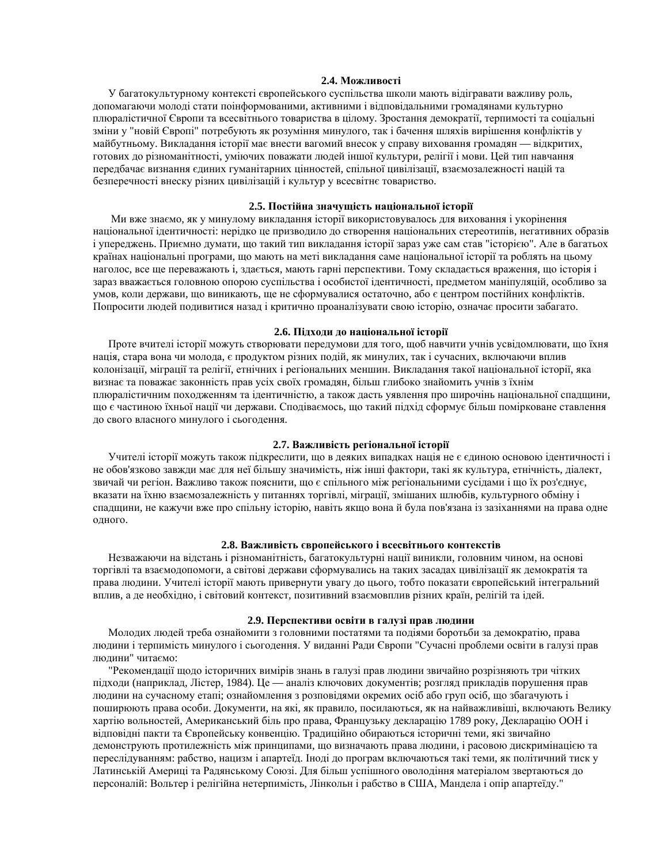## 2.4. Можливості

У багатокультурному контексті європейського суспільства школи мають відігравати важливу роль, допомагаючи молоді стати поінформованими, активними і відповідальними громадянами культурно плюралістичної Європи та всесвітнього товариства в цілому. Зростання демократії, терпимості та соціальні зміни у "новій Європі" потребують як розуміння минулого, так і бачення шляхів вирішення конфліктів у майбутньому. Викладання історії має внести вагомий внесок у справу виховання громадян — відкритих, готових до різноманітності, уміючих поважати людей іншої культури, релігії і мови. Цей тип навчання передбачає визнання єдиних гуманітарних цінностей, спільної цивілізації, взаємозалежності націй та безперечності внеску різних цивілізацій і культур у всесвітнє товариство.

## 2.5. Постійна значущість національної історії

Ми вже знаємо, як у минулому викладання історії використовувалось для виховання і укорінення національної ідентичності: нерідко це призводило до створення національних стереотипів, негативних образів і упереджень. Приємно думати, що такий тип викладання історії зараз уже сам став "історією". Але в багатьох країнах національні програми, що мають на меті викладання саме національної історії та роблять на цьому наголос, все ще переважають і, здається, мають гарні перспективи. Тому складається враження, що історія і зараз вважається головною опорою суспільства і особистої ідентичності, предметом маніпуляцій, особливо за умов, коли держави, що виникають, ще не сформувалися остаточно, або є центром постійних конфліктів. Попросити людей подивитися назад і критично проаналізувати свою історію, означає просити забагато.

#### 2.6. Підходи до національної історії

Проте вчителі історії можуть створювати передумови для того, щоб навчити учнів усвідомлювати, що їхня нація, стара вона чи молода, є продуктом різних подій, як минулих, так і сучасних, включаючи вплив колонізації, міграції та релігії, етнічних і регіональних меншин. Викладання такої національної історії, яка визнає та поважає законність прав усіх своїх громадян, більш глибоко знайомить учнів з їхнім плюралістичним походженням та ідентичністю, а також дасть уявлення про широчінь національної спадщини, що є частиною їхньої нації чи держави. Сподіваємось, що такий підхід сформує більш помірковане ставлення до свого власного минулого і сьогодення.

#### 2.7. Важливість регіональної історії

Учителі історії можуть також підкреслити, що в деяких випадках нація не є єдиною основою ідентичності і не обов'язково завжди має для неї більшу значимість, ніж інші фактори, такі як культура, етнічність, діалект, звичай чи регіон. Важливо також пояснити, що є спільного між регіональними сусідами і що їх роз'єднує, вказати на їхню взаємозалежність у питаннях торгівлі, міграції, змішаних шлюбів, культурного обміну і спадщини, не кажучи вже про спільну історію, навіть якщо вона й була пов'язана із зазіханнями на права одне одного.

## 2.8. Важливість європейського і всесвітнього контекстів

Незважаючи на відстань і різноманітність, багатокультурні нації виникли, головним чином, на основі торгівлі та взаємодопомоги, а світові держави сформувались на таких засадах цивілізації як демократія та права людини. Учителі історії мають привернути увагу до цього, тобто показати європейський інтегральний вплив, а де необхідно, і світовий контекст, позитивний взаємовплив різних країн, релігій та ідей.

#### 2.9. Перспективи освіти в галузі прав людини

Молодих людей треба ознайомити з головними постатями та подіями боротьби за демократію, права людини і терпимість минулого і сьогодення. У виданні Ради Європи "Сучасні проблеми освіти в галузі прав людини" читаємо:

"Рекомендації щодо історичних вимірів знань в галузі прав людини звичайно розрізняють три чітких підходи (наприклад, Лістер, 1984). Це — аналіз ключових документів; розгляд прикладів порушення прав людини на сучасному етапі; ознайомлення з розповідями окремих осіб або груп осіб, що збагачують і поширюють права особи. Документи, на які, як правило, посилаються, як на найважливіші, включають Велику хартію вольностей, Американський біль про права, Французьку декларацію 1789 року, Декларацію ООН і відповідні пакти та Європейську конвенцію. Традиційно обираються історичні теми, які звичайно демонструють протилежність між принципами, що визначають права людини, і расовою дискримінацією та переслідуванням: рабство, нацизм і апартеїд. Іноді до програм включаються такі теми, як політичний тиск у Латинській Америці та Радянському Союзі. Для більш успішного оволодіння матеріалом звертаються до персоналій: Вольтер і релігійна нетерпимість, Лінкольн і рабство в США, Мандела і опір апартеїду."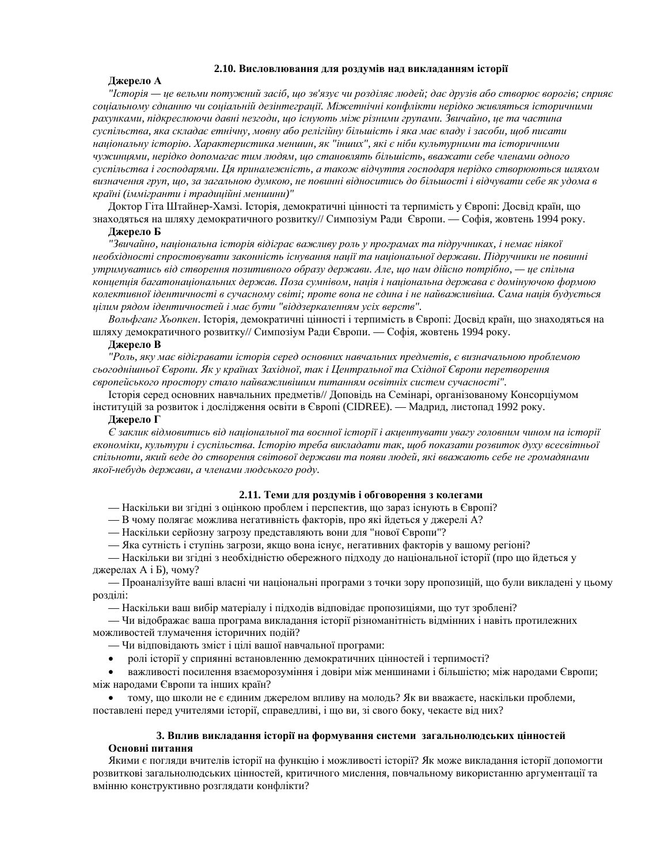#### 2.10. Висловлювання для роздумів над викладанням історії

## **Лжерело А**

*"ȱɫɬɨɪɿɹ — ɰɟ ɜɟɥɶɦɢ ɩɨɬɭɠɧɢɣ ɡɚɫɿɛ, ɳɨ ɡɜ'ɹɡɭɽ ɱɢ ɪɨɡɞɿɥɹɽ ɥɸɞɟɣ; ɞɚɽ ɞɪɭɡɿɜ ɚɛɨ ɫɬɜɨɪɸɽ ɜɨɪɨɝɿɜ; ɫɩɪɢɹɽ* соціальному єднанню чи соціальній дезінтеграції. Міжетнічні конфлікти нерідко живляться історичними  $\overline{paxyHkamu}$ , підкреслюючи давні незгоди, що існують між різними групами. Звичайно, це та частина суспільства, яка складає етнічну, мовну або релігійну більшість і яка має владу і засоби, щоб писати *національну історію. Характеристика меншин, як "інших", які є ніби культурними та історичними* чужинцями, нерідко допомагає тим людям, що становлять більшість, вважати себе членами одного суспільства і господарями. Ця приналежність, а також відчуття господаря нерідко створюються шляхом визначення груп, що, за загальною думкою, не повинні відноситись до більшості і відчувати себе як удома в країні (іммігранти і традиційні меншини)"

Доктор Гіта Штайнер-Хамзі. Історія, демократичні цінності та терпимість у Європі: Досвід країн, що знаходяться на шляху демократичного розвитку// Симпозіум Ради Європи. — Софія, жовтень 1994 року.

## Джерело **Б**

"Звичайно, національна історія відіграє важливу роль у програмах та підручниках, і немає ніякої необхідності спростовувати законність існування нації та національної держави. Підручники не повинні утримуватись від створення позитивного образу держави. Але, що нам дійсно потрібно, — це спільна концепція багатонаціональних держав. Поза сумнівом, нація і національна держава є домінуючою формою колективної ідентичності в сучасному світі; проте вона не єдина і не найважливіша. Сама нація будується  $\mu$ ијлим рядом ідентичностей і має бути "віддзеркаленням усіх верств".

*Вольфганг Хьопкен*. Історія, демократичні цінності і терпимість в Європі: Досвід країн, що знаходяться на шляху демократичного розвитку// Симпозіум Ради Європи. — Софія, жовтень 1994 року.

#### Джерело В

"Роль, яку має відігравати історія серед основних навчальних предметів, є визначальною проблемою сьогоднішньої Європи. Як у країнах Західної, так і Центральної та Східної Європи перетворення  $\varepsilon$ еропейського простору стало найважливішим питанням освітніх систем сучасності".

Iсторія серед основних навчальних предметів// Доповідь на Семінарі, організованому Консорціумом інституцій за розвиток і дослідження освіти в Європі (СІDREE). — Мадрид, листопад 1992 року.

#### Джерело Г

€ заклик відмовитись від національної та воєнної історії і акиентувати увагу головним чином на історії економіки, культури і суспільства. Історію треба викладати так, щоб показати розвиток духу всесвітньої спільноти, який веде до створення світової держави та появи людей, які вважають себе не громадянами якої-небудь держави, а членами людського роду.

#### 2.11. Теми для роздумів і обговорення з колегами

— Наскільки ви згідні з оцінкою проблем і перспектив, що зараз існують в Європі?

— В чому полягає можлива негативність факторів, про які йдеться у джерелі А?

— Наскільки серйозну загрозу представляють вони для "нової Європи"?

— Яка сутність і ступінь загрози, якщо вона існує, негативних факторів у вашому регіоні?

— Наскільки ви згідні з необхідністю обережного підходу до національної історії (про що йдеться у джерелах A i Б), чому?

— Проаналізуйте ваші власні чи національні програми з точки зору пропозицій, що були викладені у цьому розділі:

— Наскільки ваш вибір матеріалу і підходів відповідає пропозиціями, що тут зроблені?

— Чи відображає ваша програма викладання історії різноманітність відмінних і навіть протилежних можливостей тлумачення історичних подій?

- Чи відповідають зміст і цілі вашої навчальної програми:
- ролі історії у сприянні встановленню демократичних цінностей і терпимості?

важливості посилення взаєморозуміння і довіри між меншинами і більшістю; між народами Європи; між народами Європи та інших країн?

тому, що школи не є єдиним джерелом впливу на молодь? Як ви вважаєте, наскільки проблеми,

поставлені перед учителями історії, справедливі, і що ви, зі свого боку, чекаєте від них?

## 3. Вплив викладання історії на формування системи загальнолюдських цінностей Основні питання

Якими є погляди вчителів історії на функцію і можливості історії? Як може викладання історії допомогти розвиткові загальнолюдських цінностей, критичного мислення, повчальному використанню аргументації та вмінню конструктивно розглядати конфлікти?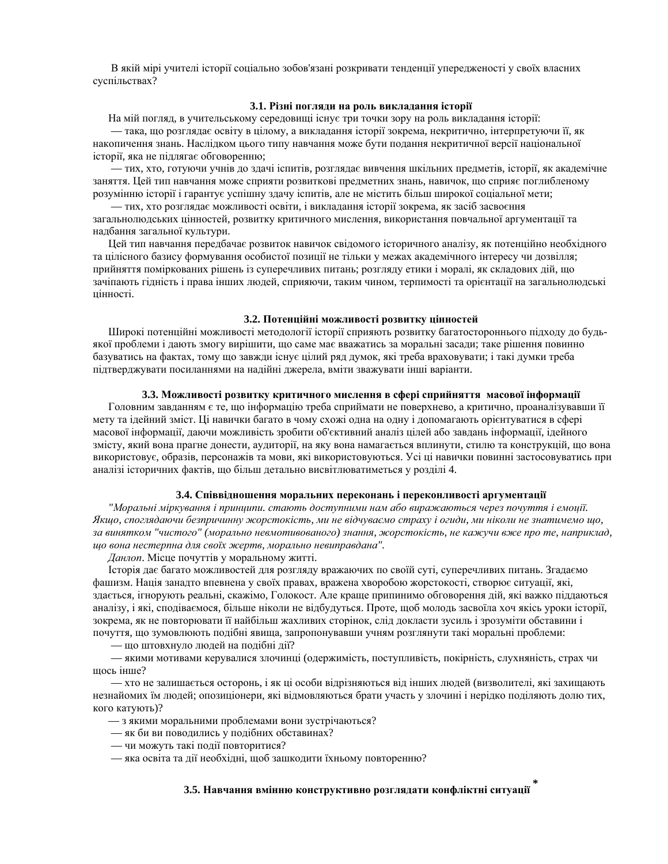В якій мірі учителі історії соціально зобов'язані розкривати тенденції упередженості у своїх власних суспільствах?

## 3.1. Різні погляди на роль викладання історії

На мій погляд, в учительському середовищі існує три точки зору на роль викладання історії:

— така, що розглядає освіту в цілому, а викладання історії зокрема, некритично, інтерпретуючи її, як накопичення знань. Наслідком цього типу навчання може бути подання некритичної версії національної історії, яка не підлягає обговоренню;

— тих, хто, готуючи учнів до здачі іспитів, розглядає вивчення шкільних предметів, історії, як академічне заняття. Цей тип навчання може сприяти розвиткові предметних знань, навичок, що сприяє поглибленому розумінню історії і гарантує успішну здачу іспитів, але не містить більш широкої соціальної мети;

— тих, хто розглядає можливості освіти, і викладання історії зокрема, як засіб засвоєння загальнолюдських цінностей, розвитку критичного мислення, використання повчальної аргументації та надбання загальної культури.

Цей тип навчання передбачає розвиток навичок свідомого історичного аналізу, як потенційно необхідного та цілісного базису формування особистої позиції не тільки у межах академічного інтересу чи дозвілля; прийняття поміркованих рішень із суперечливих питань; розгляду етики і моралі, як складових дій, що зачіпають гідність і права інших людей, сприяючи, таким чином, терпимості та орієнтації на загальнолюдські иінності.

#### 3.2. Потенційні можливості розвитку цінностей

Широкі потенційні можливості методології історії сприяють розвитку багатостороннього підходу до будьякої проблеми і дають змогу вирішити, що саме має вважатись за моральні засади; таке рішення повинно базуватись на фактах, тому що завжди існує цілий ряд думок, які треба враховувати; і такі думки треба підтверджувати посиланнями на надійні джерела, вміти зважувати інші варіанти.

## 3.3. Можливості розвитку критичного мислення в сфері сприйняття масової інформації

Головним завданням є те, що інформацію треба сприймати не поверхнево, а критично, проаналізувавши її мету та ідейний зміст. Ці навички багато в чому схожі одна на одну і допомагають орієнтуватися в сфері масової інформації, даючи можливість зробити об'єктивний аналіз цілей або завдань інформації, ідейного змісту, який вона прагне донести, аудиторії, на яку вона намагається вплинути, стилю та конструкцій, що вона використовує, образів, персонажів та мови, які використовуються. Усі ці навички повинні застосовуватись при аналізі історичних фактів, що більш детально висвітлюватиметься у розділі 4.

#### 3.4. Співвідношення моральних переконань і переконливості аргументації

"Моральні міркування і принципи. стають доступними нам або виражаються через почуття і емоції.  $R$ кщо, споглядаючи безпричинну жорстокість, ми не відчуваємо страху і огиди, ми ніколи не знатимемо що, *ɡɚ ɜɢɧɹɬɤɨɦ "ɱɢɫɬɨɝɨ" (ɦɨɪɚɥɶɧɨ ɧɟɜɦɨɬɢɜɨɜɚɧɨɝɨ) ɡɧɚɧɧɹ, ɠɨɪɫɬɨɤɿɫɬɶ, ɧɟ ɤɚɠɭɱɢ ɜɠɟ ɩɪɨ ɬɟ, ɧɚɩɪɢɤɥɚɞ, ɳɨ ɜɨɧɚ ɧɟɫɬɟɪɩɧɚ ɞɥɹ ɫɜɨʀɯ ɠɟɪɬɜ, ɦɨɪɚɥɶɧɨ ɧɟɜɢɩɪɚɜɞɚɧɚ".*

#### Данлоп. Місце почуттів у моральному житті.

Історія дає багато можливостей для розгляду вражаючих по своїй суті, суперечливих питань. Згадаємо фашизм. Нація занадто впевнена у своїх правах, вражена хворобою жорстокості, створює ситуації, які, здається, ігнорують реальні, скажімо, Голокост. Але краще припинимо обговорення дій, які важко піддаються аналізу, і які, сподіваємося, більше ніколи не відбудуться. Проте, щоб молодь засвоїла хоч якісь уроки історії, зокрема, як не повторювати її найбільш жахливих сторінок, слід докласти зусиль і зрозуміти обставини і почуття, що зумовлюють подібні явища, запропонувавши учням розглянути такі моральні проблеми:

— що штовхнуло людей на подібні дії?

— якими мотивами керувалися злочинці (одержимість, поступливість, покірність, слухняність, страх чи шось інше?

— хто не залишається осторонь, і як ці особи відрізняються від інших людей (визволителі, які захищають незнайомих їм людей; опозиціонери, які відмовляються брати участь у злочині і нерідко поділяють долю тих, кого катують)?

- з якими моральними проблемами вони зустрічаються?
- як би ви поводились у подібних обставинах?
- чи можуть такі полії повторитися?
- яка освіта та дії необхідні, щоб зашкодити їхньому повторенню?

## 3.5. Навчання вмінню конструктивно розглядати конфліктні ситуації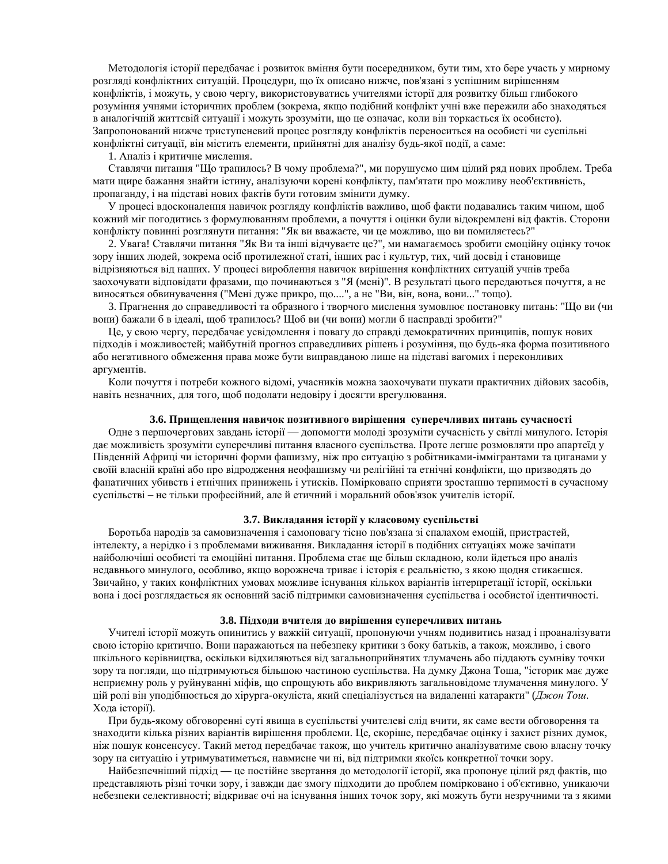Методологія історії передбачає і розвиток вміння бути посередником, бути тим, хто бере участь у мирному розгляді конфліктних ситуацій. Процедури, що їх описано нижче, пов'язані з успішним вирішенням конфліктів, і можуть, у свою чергу, використовуватись учителями історії для розвитку більш глибокого розуміння учнями історичних проблем (зокрема, якщо подібний конфлікт учні вже пережили або знаходяться в аналогічній життєвій ситуації і можуть зрозуміти, що це означає, коли він торкається їх особисто). Запропонований нижче триступеневий процес розгляду конфліктів переноситься на особисті чи суспільні конфліктні ситуації, він містить елементи, прийнятні для аналізу будь-якої події, а саме:

1. Аналіз і критичне мислення.

Ставлячи питання "Що трапилось? В чому проблема?", ми порушуємо цим цілий ряд нових проблем. Треба мати щире бажання знайти істину, аналізуючи корені конфлікту, пам'ятати про можливу необ'єктивність, пропаганду, і на підставі нових фактів бути готовим змінити думку.

У процесі вдосконалення навичок розгляду конфліктів важливо, щоб факти подавались таким чином, щоб кожний міг погодитись з формулюванням проблеми, а почуття і оцінки були відокремлені від фактів. Сторони конфлікту повинні розглянути питання: "Як ви вважаєте, чи це можливо, що ви помиляєтесь?"

2. Увага! Ставлячи питання "Як Ви та інші відчуваєте це?", ми намагаємось зробити емоційну оцінку точок зору інших людей, зокрема осіб протилежної статі, інших рас і культур, тих, чий досвід і становище відрізняються від наших. У процесі вироблення навичок вирішення конфліктних ситуацій учнів треба заохочувати відповідати фразами, що починаються з "Я (мені)". В результаті цього передаються почуття, а не виносяться обвинувачення ("Мені дуже прикро, що....", а не "Ви, він, вона, вони..." тощо).

3. Прагнення до справедливості та образного і творчого мислення зумовлює постановку питань: "Що ви (чи вони) бажали б в ідеалі, щоб трапилось? Щоб ви (чи вони) могли б насправді зробити?"

Це, у свою чергу, передбачає усвідомлення і повагу до справді демократичних принципів, пошук нових підходів і можливостей; майбутній прогноз справедливих рішень і розуміння, що будь-яка форма позитивного або негативного обмеження права може бути виправданою лише на підставі вагомих і переконливих аргументів.

Коли почуття і потреби кожного відомі, учасників можна заохочувати шукати практичних дійових засобів, навіть незначних, для того, щоб подолати недовіру і досягти врегулювання.

#### 3.6. Прищеплення навичок позитивного вирішення суперечливих питань сучасності

Одне з першочергових завдань історії — допомогти молоді зрозуміти сучасність у світлі минулого. Історія дає можливість зрозуміти суперечливі питання власного суспільства. Проте легше розмовляти про апартеїд у Південній Африці чи історичні форми фашизму, ніж про ситуацію з робітниками-іммігрантами та циганами у своїй власній країні або про відродження неофашизму чи релігійні та етнічні конфлікти, що призводять до фанатичних убивств і етнічних принижень і утисків. Помірковано сприяти зростанню терпимості в сучасному суспільстві – не тільки професійний, але й етичний і моральний обов'язок учителів історії.

#### 3.7. Викладання історії у класовому суспільстві

Боротьба народів за самовизначення і самоповагу тісно пов'язана зі спалахом емоцій, пристрастей, інтелекту, а нерідко і з проблемами виживання. Викладання історії в подібних ситуаціях може зачіпати найболючіші особисті та емоційні питання. Проблема стає ще більш складною, коли йдеться про аналіз недавнього минулого, особливо, якщо ворожнеча триває і історія є реальністю, з якою щодня стикаєшся. Звичайно, у таких конфліктних умовах можливе існування кількох варіантів інтерпретації історії, оскільки вона і досі розглядається як основний засіб підтримки самовизначення суспільства і особистої ідентичності.

#### 3.8. Підходи вчителя до вирішення суперечливих питань

Учителі історії можуть опинитись у важкій ситуації, пропонуючи учням подивитись назад і проаналізувати свою історію критично. Вони наражаються на небезпеку критики з боку батьків, а також, можливо, і свого шкільного керівництва, оскільки відхиляються від загальноприйнятих тлумачень або піддають сумніву точки зору та погляди, що підтримуються більшою частиною суспільства. На думку Джона Тоша, "історик має дуже неприємну роль у руйнуванні міфів, що спрощують або викривляють загальновідоме тлумачення минулого. У цій ролі він уподібнюється до хірурга-окуліста, який спеціалізується на видаленні катаракти" (Джон Тош. Хода історії).

При будь-якому обговоренні суті явища в суспільстві учителеві слід вчити, як саме вести обговорення та знаходити кілька різних варіантів вирішення проблеми. Це, скоріше, передбачає оцінку і захист різних думок, ніж пошук консенсусу. Такий метод передбачає також, що учитель критично аналізуватиме свою власну точку зору на ситуацію і утримуватиметься, навмисне чи ні, від підтримки якоїсь конкретної точки зору.

Найбезпечніший підхід — це постійне звертання до методології історії, яка пропонує цілий ряд фактів, що представляють різні точки зору, і завжди дає змогу підходити до проблем помірковано і об'єктивно, уникаючи небезпеки селективності; відкриває очі на існування інших точок зору, які можуть бути незручними та з якими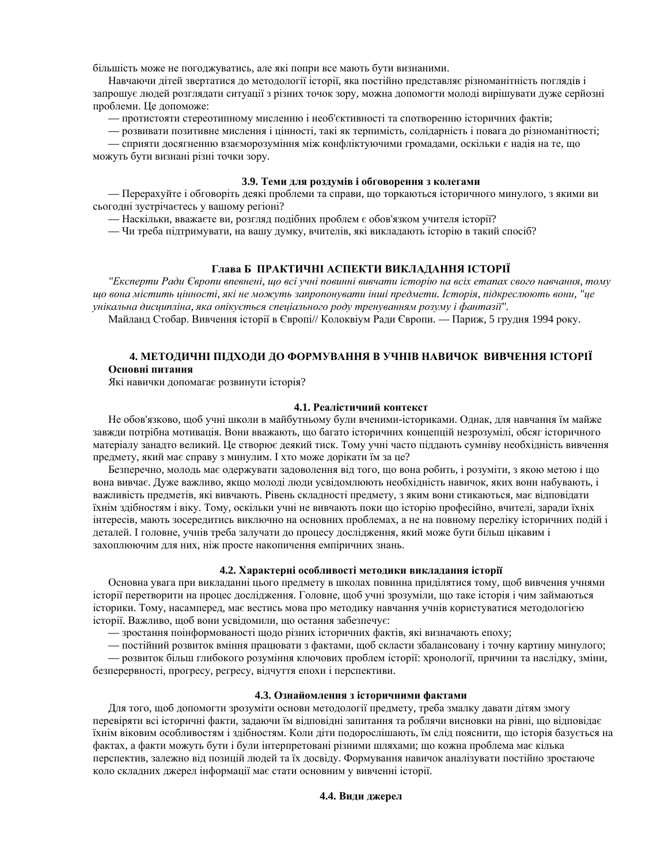більшість може не погоджуватись, але які попри все мають бути визнаними.

Навчаючи дітей звертатися до методології історії, яка постійно представляє різноманітність поглядів і запрошує людей розглядати ситуації з різних точок зору, можна допомогти молоді вирішувати дуже серйозні проблеми. Це допоможе:

— протистояти стереотипному мисленню і необ'єктивності та спотворенню історичних фактів;

— розвивати позитивне мислення і цінності, такі як терпимість, солідарність і повага до різноманітності;

— сприяти досягненню взаєморозуміння між конфліктуючими громадами, оскільки є надія на те, що можуть бути визнані різні точки зору.

## 3.9. Теми для роздумів і обговорення з колегами

— Перерахуйте і обговоріть деякі проблеми та справи, що торкаються історичного минулого, з якими ви сьогодні зустрічаєтесь у вашому регіоні?

— Наскільки, вважаєте ви, розгляд подібних проблем є обов'язком учителя історії?

— Чи треба підтримувати, на вашу думку, вчителів, які викладають історію в такий спосіб?

## Глава **Б** ПРАКТИЧНІ АСПЕКТИ ВИКЛАДАННЯ ІСТОРІЇ

"*Експерти Ради Європи впевнені, що всі учні повинні вивчати історію на всіх етапах свого навчання, тому ɳɨ ɜɨɧɚ ɦɿɫɬɢɬɶ ɰɿɧɧɨɫɬɿ, ɹɤɿ ɧɟ ɦɨɠɭɬɶ ɡɚɩɪɨɩɨɧɭɜɚɬɢ ɿɧɲɿ ɩɪɟɞɦɟɬɢ. ȱɫɬɨɪɿɹ, ɩɿɞɤɪɟɫɥɸɸɬɶ ɜɨɧɢ, "ɰɟ* yнікальна дисципліна, яка опікується спеціального роду тренуванням розуму і фантазії".

Майланд Стобар. Вивчення історії в Європі// Колоквіум Ради Європи. — Париж, 5 грудня 1994 року.

## 4. МЕТОДИЧНІ ПІДХОДИ ДО ФОРМУВАННЯ В УЧНІВ НАВИЧОК ВИВЧЕННЯ ІСТОРІЇ Основні питання

Які навички допомагає розвинути історія?

#### 4.1. Реалістичний контекст

Не обов'язково, щоб учні школи в майбутньому були вченими-істориками. Однак, для навчання їм майже завжди потрібна мотивація. Вони вважають, що багато історичних концепцій незрозумілі, обсяг історичного матеріалу занадто великий. Це створює деякий тиск. Тому учні часто піддають сумніву необхідність вивчення предмету, який має справу з минулим. І хто може дорікати їм за це?

Безперечно, молодь має одержувати задоволення від того, що вона робить, і розуміти, з якою метою і що вона вивчає. Дуже важливо, якщо молоді люди усвідомлюють необхідність навичок, яких вони набувають, і важливість предметів, які вивчають. Рівень складності предмету, з яким вони стикаються, має відповідати їхнім здібностям і віку. Тому, оскільки учні не вивчають поки що історію професійно, вчителі, заради їхніх інтересів, мають зосередитись виключно на основних проблемах, а не на повному переліку історичних подій і деталей. І головне, учнів треба залучати до процесу дослідження, який може бути більш цікавим і захоплюючим для них, ніж просте накопичення емпіричних знань.

## 4.2. Характерні особливості методики викладання історії

Основна увага при викладанні цього предмету в школах повинна приділятися тому, щоб вивчення учнями історії перетворити на процес дослідження. Головне, щоб учні зрозуміли, що таке історія і чим займаються історики. Тому, насамперед, має вестись мова про методику навчання учнів користуватися методологією історії. Важливо, щоб вони усвідомили, що остання забезпечує:

— зростання поінформованості щодо різних історичних фактів, які визначають епоху;

— постійний розвиток вміння працювати з фактами, щоб скласти збалансовану і точну картину минулого;

— розвиток більш глибокого розуміння ключових проблем історії: хронології, причини та наслідку, зміни, безперервності, прогресу, регресу, відчуття епохи і перспективи.

#### 4.3. Ознайомлення з історичними фактами

Для того, щоб допомогти зрозуміти основи методології предмету, треба змалку давати дітям змогу перевіряти всі історичні факти, задаючи їм відповідні запитання та роблячи висновки на рівні, що відповідає їхнім віковим особливостям і здібностям. Коли діти подорослішають, їм слід пояснити, що історія базується на фактах, а факти можуть бути і були інтерпретовані різними шляхами; що кожна проблема має кілька перспектив, залежно від позицій людей та їх досвіду. Формування навичок аналізувати постійно зростаюче коло складних джерел інформації має стати основним у вивченні історії.

## 4.4. Види джерел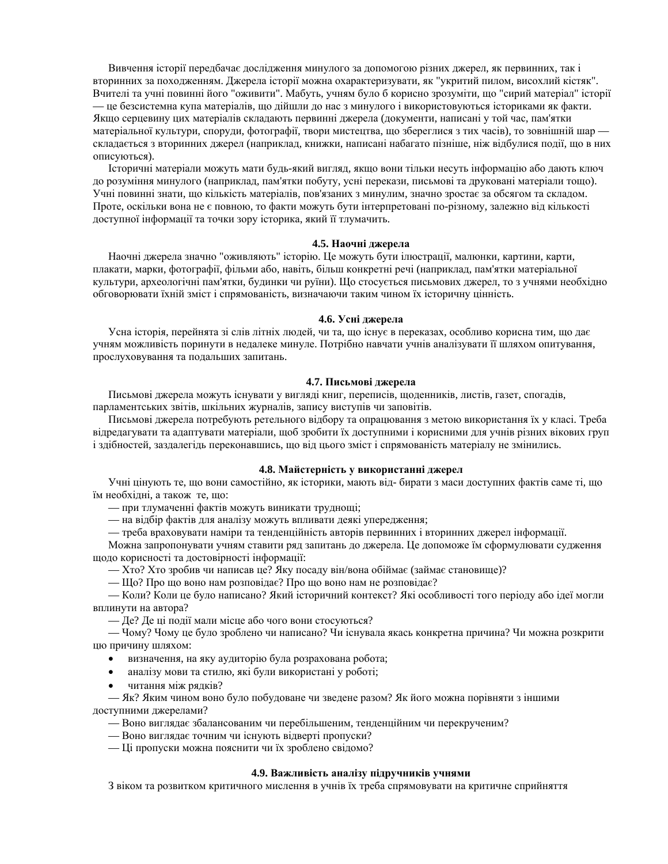Вивчення історії передбачає дослідження минулого за допомогою різних джерел, як первинних, так і вторинних за походженням. Джерела історії можна охарактеризувати, як "укритий пилом, висохлий кістяк". Вчителі та учні повинні його "оживити". Мабуть, учням було б корисно зрозуміти, що "сирий матеріал" історії — це безсистемна купа матеріалів, що дійшли до нас з минулого і використовуються істориками як факти. Якщо серцевину цих матеріалів складають первинні джерела (документи, написані у той час, пам'ятки матеріальної культури, споруди, фотографії, твори мистецтва, що збереглися з тих часів), то зовнішній шар складається з вторинних джерел (наприклад, книжки, написані набагато пізніше, ніж відбулися події, що в них описуються).

Історичні матеріали можуть мати будь-який вигляд, якщо вони тільки несуть інформацію або дають ключ до розуміння минулого (наприклад, пам'ятки побуту, усні перекази, письмові та друковані матеріали тощо). Учні повинні знати, що кількість матеріалів, пов'язаних з минулим, значно зростає за обсягом та складом. Проте, оскільки вона не є повною, то факти можуть бути інтерпретовані по-різному, залежно від кількості доступної інформації та точки зору історика, який її тлумачить.

### **4.5. Наочні джерела**

Наочні джерела значно "оживляють" історію. Це можуть бути ілюстрації, малюнки, картини, карти, плакати, марки, фотографії, фільми або, навіть, більш конкретні речі (наприклад, пам'ятки матеріальної культури, археологічні пам'ятки, будинки чи руїни). Що стосується письмових джерел, то з учнями необхідно обговорювати їхній зміст і спрямованість, визначаючи таким чином їх історичну цінність.

## 4.6. Усні джерела

Усна історія, перейнята зі слів літніх людей, чи та, що існує в переказах, особливо корисна тим, що дає учням можливість поринути в недалеке минуле. Потрібно навчати учнів аналізувати її шляхом опитування, прослуховування та подальших запитань.

#### **4.7. Письмові джерела**

Письмові джерела можуть існувати у вигляді книг, переписів, щоденників, листів, газет, спогадів, парламентських звітів, шкільних журналів, запису виступів чи заповітів.

Письмові джерела потребують ретельного відбору та опрацювання з метою використання їх у класі. Треба відредагувати та адаптувати матеріали, щоб зробити їх доступними і корисними для учнів різних вікових груп і здібностей, заздалегідь переконавшись, що від цього зміст і спрямованість матеріалу не змінились.

## 4.8. Майстерність у використанні джерел

Учні цінують те, що вони самостійно, як історики, мають від-бирати з маси доступних фактів саме ті, що їм необхідні, а також те, що:

— при тлумаченні фактів можуть виникати труднощі;

— на відбір фактів для аналізу можуть впливати деякі упередження;

— треба враховувати наміри та тенденційність авторів первинних і вторинних джерел інформації.

Можна запропонувати учням ставити ряд запитань до джерела. Це допоможе їм сформулювати судження щодо корисності та достовірності інформації:

— Хто? Хто зробив чи написав це? Яку посаду він/вона обіймає (займає становище)?

— Що? Про що воно нам розповідає? Про що воно нам не розповідає?

— Коли? Коли це було написано? Який iсторичний контекст? Які особливості того періоду або ідеї могли вплинути на автора?

— Де? Де ці події мали місце або чого вони стосуються?

— Чому? Чому це було зроблено чи написано? Чи існувала якась конкретна причина? Чи можна розкрити цю причину шляхом:

- визначення, на яку аудиторію була розрахована робота;
- аналізу мови та стилю, які були використані у роботі;
- читання між рядків?

— Як? Яким чином воно було побудоване чи зведене разом? Як його можна порівняти з іншими доступними джерелами?

- Воно виглядає збалансованим чи перебільшеним, тенденційним чи перекрученим?
- Воно виглядає точним чи існують відверті пропуски?
- Ці пропуски можна пояснити чи їх зроблено свідомо?

#### 4.9. Важливість аналізу підручників учнями

З віком та розвитком критичного мислення в учнів їх треба спрямовувати на критичне сприйняття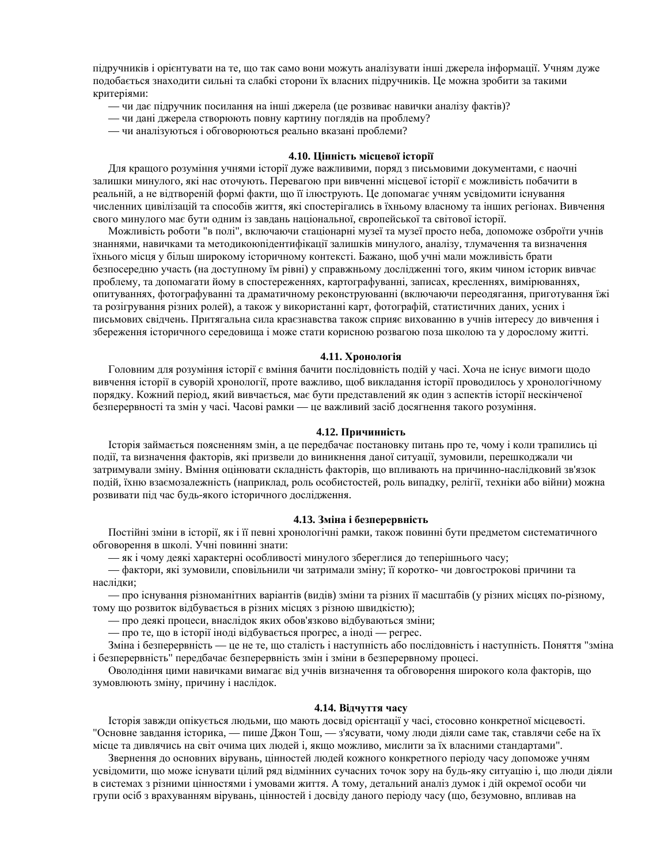підручників і орієнтувати на те, що так само вони можуть аналізувати інші джерела інформації. Учням дуже подобається знаходити сильні та слабкі сторони їх власних підручників. Це можна зробити за такими критеріями:

- чи дає підручник посилання на інші джерела (це розвиває навички аналізу фактів)?
- чи дані джерела створюють повну картину поглядів на проблему?
- чи аналізуються і обговорюються реально вказані проблеми?

#### 4.10. Цінність місцевої історії

Для кращого розуміння учнями історії дуже важливими, поряд з письмовими документами, є наочні залишки минулого, які нас оточують. Перевагою при вивченні місцевої історії є можливість побачити в реальній, а не відтвореній формі факти, що її ілюструють. Це допомагає учням усвідомити існування численних цивілізацій та способів життя, які спостерігались в їхньому власному та інших регіонах. Вивчення свого минулого має бути олним із завлань національної, європейської та світової історії,

Можливість роботи "в полі", включаючи стаціонарні музеї та музеї просто неба, допоможе озброїти учнів знаннями, навичками та методикоюпідентифікації залишків минулого, аналізу, тлумачення та визначення їхнього місця у більш широкому історичному контексті. Бажано, щоб учні мали можливість брати безпосередню участь (на доступному їм рівні) у справжньому дослідженні того, яким чином історик вивчає проблему, та допомагати йому в спостереженнях, картографуванні, записах, кресленнях, вимірюваннях, опитуваннях, фотографуванні та драматичному реконструюванні (включаючи переодягання, приготування їжі та розігрування різних ролей), а також у використанні карт, фотографій, статистичних даних, усних і письмових свідчень. Притягальна сила краєзнавства також сприяє вихованню в учнів інтересу до вивчення і збереження історичного середовища і може стати корисною розвагою поза школою та у дорослому житті.

#### **4.11. Хронологія**

Головним для розуміння історії є вміння бачити послідовність подій у часі. Хоча не існує вимоги щодо вивчення історії в суворій хронології, проте важливо, щоб викладання історії проводилось у хронологічному порядку. Кожний період, який вивчається, має бути представлений як один з аспектів історії нескінченої безперервності та змін у часі. Часові рамки — це важливий засіб досягнення такого розуміння.

## 4.12. Причинність

Історія займається поясненням змін, а це передбачає постановку питань про те, чому і коли трапились ці події, та визначення факторів, які призвели до виникнення даної ситуації, зумовили, перешкоджали чи затримували зміну. Вміння оцінювати складність факторів, що впливають на причинно-наслідковий зв'язок подій, їхню взаємозалежність (наприклад, роль особистостей, роль випадку, релігії, техніки або війни) можна розвивати під час будь-якого історичного дослідження.

#### 4.13. Зміна і безперервність

Постійні зміни в історії, як і її певні хронологічні рамки, також повинні бути предметом систематичного обговорення в школі. Учні повинні знати:

— як і чому деякі характерні особливості минулого збереглися до теперішнього часу;

— фактори, які зумовили, сповільнили чи затримали зміну; її коротко- чи довгострокові причини та наслідки;

— про існування різноманітних варіантів (видів) зміни та різних її масштабів (у різних місцях по-різному, тому що розвиток відбувається в різних місцях з різною швидкістю);

— про деякі процеси, внаслідок яких обов'язково відбуваються зміни;

— про те, що в історії іноді відбувається прогрес, а іноді — регрес.

Зміна і безперервність — це не те, що сталість і наступність або послідовність і наступність. Поняття "зміна і безперервність" передбачає безперервність змін і зміни в безперервному процесі.

Оволодіння цими навичками вимагає від учнів визначення та обговорення широкого кола факторів, що зумовлюють зміну, причину і наслідок.

## **4.14. Відчуття часу**

Історія завжди опікується людьми, що мають досвід орієнтації у часі, стосовно конкретної місцевості. "Основне завдання історика, — пише Джон Тош, — з'ясувати, чому люди діяли саме так, ставлячи себе на їх місце та ливлячись на світ очима цих люлей і, якщо можливо, мислити за їх власними станлартами".

Звернення до основних вірувань, цінностей людей кожного конкретного періоду часу допоможе учням усвідомити, що може існувати цілий ряд відмінних сучасних точок зору на будь-яку ситуацію і, що люди діяли в системах з різними пінностями і умовами життя. А тому, летальний аналіз лумок і лій окремої особи чи групи осіб з врахуванням вірувань, цінностей і досвіду даного періоду часу (що, безумовно, впливав на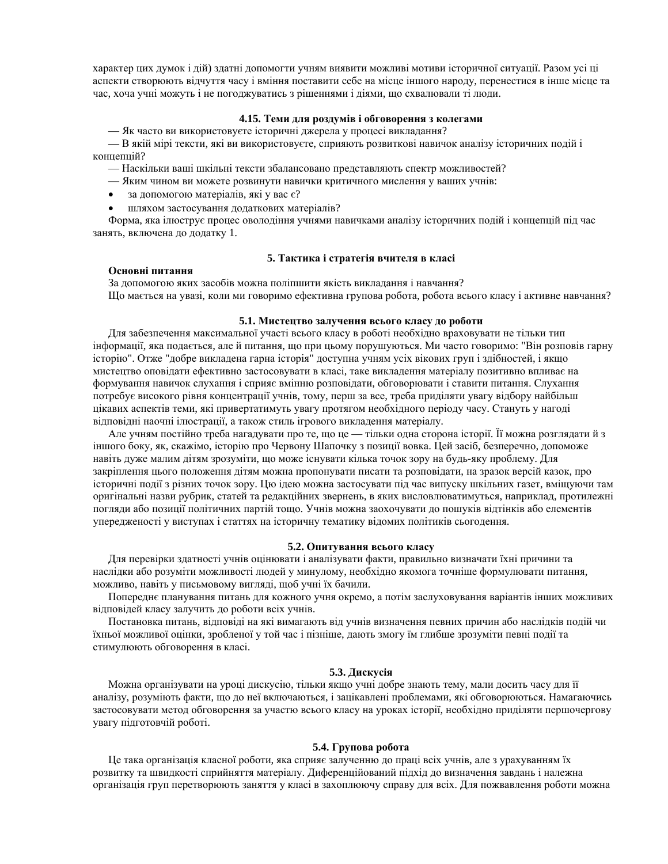характер цих думок і дій) здатні допомогти учням виявити можливі мотиви історичної ситуації. Разом усі ці аспекти створюють відчуття часу і вміння поставити себе на місце іншого народу, перенестися в інше місце та час, хоча учні можуть і не погоджуватись з рішеннями і діями, що схвалювали ті люди.

## 4.15. Теми для роздумів і обговорення з колегами

— Як часто ви використовуєте історичні джерела у процесі викладання?

— В якій мірі тексти, які ви використовуєте, сприяють розвиткові навичок аналізу історичних подій і концепцій?

- Наскільки ваші шкільні тексти збалансовано представляють спектр можливостей?
- Яким чином ви можете розвинути навички критичного мислення у ваших учнів:
- за допомогою матеріалів, які у вас  $\epsilon$ ?
- шляхом застосування додаткових матеріалів?

Форма, яка ілюструє процес оволодіння учнями навичками аналізу історичних подій і концепцій під час занять, включена до додатку 1.

#### Основні питання

## 5. Тактика і стратегія вчителя в класі

За допомогою яких засобів можна поліпшити якість викладання і навчання? Що масться на увазі, коли ми говоримо ефективна групова робота, робота всього класу і активне навчання?

## 5.1. Мистецтво залучення всього класу до роботи

Для забезпечення максимальної участі всього класу в роботі необхідно враховувати не тільки тип інформації, яка подається, але й питання, що при цьому порушуються. Ми часто говоримо: "Він розповів гарну історію". Отже "добре викладена гарна історія" доступна учням усіх вікових груп і здібностей, і якщо мистецтво оповідати ефективно застосовувати в класі, таке викладення матеріалу позитивно впливає на формування навичок слухання і сприяє вмінню розповідати, обговорювати і ставити питання. Слухання потребує високого рівня концентрації учнів, тому, перш за все, треба приділяти увагу відбору найбільш цікавих аспектів теми, які привертатимуть увагу протягом необхідного періоду часу. Стануть у нагоді відповідні наочні ілюстрації, а також стиль ігрового викладення матеріалу.

Але учням постійно треба нагадувати про те, що це — тільки одна сторона історії. Її можна розглядати й з іншого боку, як, скажімо, історію про Червону Шапочку з позиції вовка. Цей засіб, безперечно, допоможе навіть дуже малим дітям зрозуміти, що може існувати кілька точок зору на будь-яку проблему. Для закріплення цього положення дітям можна пропонувати писати та розповідати, на зразок версій казок, про історичні події з різних точок зору. Цю ідею можна застосувати під час випуску шкільних газет, вміщуючи там оригінальні назви рубрик, статей та редакційних звернень, в яких висловлюватимуться, наприклад, протилежні погляди або позиції політичних партій тощо. Учнів можна заохочувати до пошуків відтінків або елементів упередженості у виступах і статтях на історичну тематику відомих політиків сьогодення.

#### 5.2. Опитування всього класу

Для перевірки здатності учнів оцінювати і аналізувати факти, правильно визначати їхні причини та наслідки або розуміти можливості людей у минулому, необхідно якомога точніше формулювати питання, можливо, навіть у письмовому вигляді, щоб учні їх бачили.

Попереднє планування питань для кожного учня окремо, а потім заслуховування варіантів інших можливих відповідей класу залучить до роботи всіх учнів.

Постановка питань, відповіді на які вимагають від учнів визначення певних причин або наслідків подій чи їхньої можливої оцінки, зробленої у той час і пізніше, дають змогу їм глибше зрозуміти певні події та стимулюють обговорення в класі.

## 5.3. Дискусія

Можна організувати на уроці дискусію, тільки якщо учні добре знають тему, мали досить часу для її аналізу, розуміють факти, що до неї включаються, і зацікавлені проблемами, які обговорюються. Намагаючись застосовувати метод обговорення за участю всього класу на уроках історії, необхідно приділяти першочергову увагу підготовчій роботі.

## 5.4. Групова робота

Це така організація класної роботи, яка сприяє залученню до праці всіх учнів, але з урахуванням їх розвитку та швидкості сприйняття матеріалу. Диференційований підхід до визначення завдань і належна організація груп перетворюють заняття у класі в захоплюючу справу для всіх. Для пожвавлення роботи можна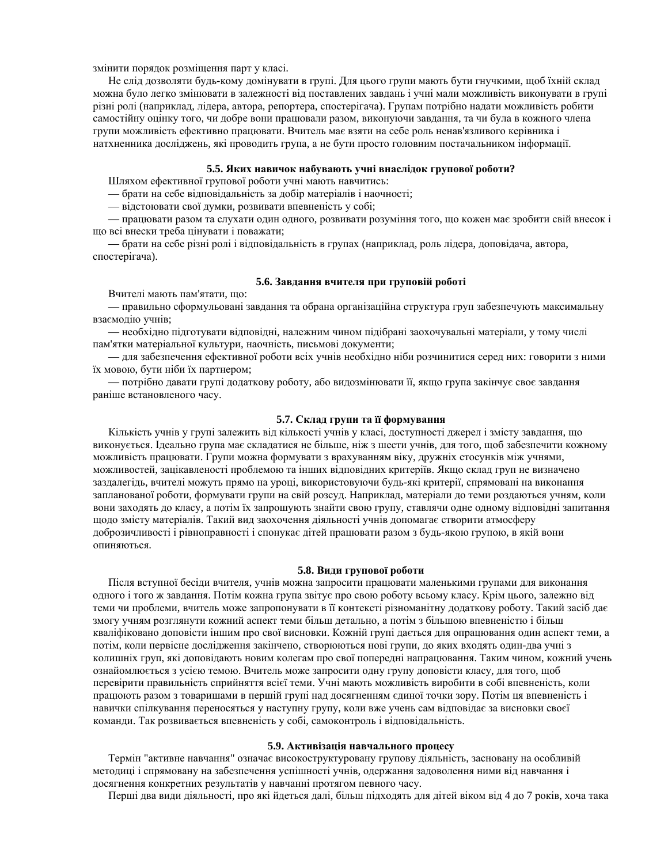змінити порядок розміщення парт у класі.

Не слід дозволяти будь-кому домінувати в групі. Для цього групи мають бути гнучкими, щоб їхній склад можна було легко змінювати в залежності від поставлених завдань і учні мали можливість виконувати в групі різні ролі (наприклад, лідера, автора, репортера, спостерігача). Групам потрібно надати можливість робити самостійну оцінку того, чи добре вони працювали разом, виконуючи завдання, та чи була в кожного члена групи можливість ефективно працювати. Вчитель має взяти на себе роль ненав'язливого керівника і натхненника досліджень, які проводить група, а не бути просто головним постачальником інформації.

## 5.5. Яких навичок набувають учні внаслідок групової роботи?

Шляхом ефективної групової роботи учні мають навчитись:

— брати на себе відповідальність за добір матеріалів і наочності;

— відстоювати свої думки, розвивати впевненість у собі;

— працювати разом та слухати один одного, розвивати розуміння того, що кожен має зробити свій внесок і що всі внески треба цінувати і поважати;

— брати на себе різні ролі і відповідальність в групах (наприклад, роль лідера, доповідача, автора, спостерігача).

## 5.6. Завдання вчителя при груповій роботі

Вчителі мають пам'ятати, що:

— правильно сформульовані завдання та обрана організаційна структура груп забезпечують максимальну взаємодію учнів;

— необхідно підготувати відповідні, належним чином підібрані заохочувальні матеріали, у тому числі пам'ятки матеріальної культури, наочність, письмові документи;

— для забезпечення ефективної роботи всіх учнів необхідно ніби розчинитися серед них: говорити з ними їх мовою, бути ніби їх партнером;

— потрібно давати групі додаткову роботу, або видозмінювати її, якщо група закінчує своє завдання раніше встановленого часу.

### 5.7. Склад групи та її формування

Кількість учнів у групі залежить від кількості учнів у класі, доступності джерел і змісту завдання, що виконується. Ідеально група має складатися не більше, ніж з шести учнів, для того, щоб забезпечити кожному можливість працювати. Групи можна формувати з врахуванням віку, дружніх стосунків між учнями, можливостей, зацікавленості проблемою та інших відповідних критеріїв. Якщо склад груп не визначено заздалегідь, вчителі можуть прямо на уроці, використовуючи будь-які критерії, спрямовані на виконання запланованої роботи, формувати групи на свій розсуд. Наприклад, матеріали до теми роздаються учням, коли вони заходять до класу, а потім їх запрошують знайти свою групу, ставлячи одне одному відповідні запитання щодо змісту матеріалів. Такий вид заохочення діяльності учнів допомагає створити атмосферу доброзичливості і рівноправності і спонукає дітей працювати разом з будь-якою групою, в якій вони опиняються.

## 5.8. Види групової роботи

Після вступної бесіди вчителя, учнів можна запросити працювати маленькими групами для виконання одного і того ж завдання. Потім кожна група звітує про свою роботу всьому класу. Крім цього, залежно від теми чи проблеми, вчитель може запропонувати в її контексті різноманітну додаткову роботу. Такий засіб дає змогу учням розглянути кожний аспект теми більш детально, а потім з більшою впевненістю і більш кваліфіковано доповісти іншим про свої висновки. Кожній групі дається для опрацювання один аспект теми, а потім, коли первісне дослідження закінчено, створюються нові групи, до яких входять один-два учні з колишніх груп, які доповідають новим колегам про свої попередні напрацювання. Таким чином, кожний учень ознайомлюється з усією темою. Вчитель може запросити одну групу доповісти класу, для того, щоб перевірити правильність сприйняття всієї теми. Учні мають можливість виробити в собі впевненість, коли працюють разом з товаришами в першій групі над досягненням єдиної точки зору. Потім ця впевненість і навички спілкування переносяться у наступну групу, коли вже учень сам відповідає за висновки своєї команди. Так розвивається впевненість у собі, самоконтроль і відповідальність.

#### 5.9. Активізація навчального процесу

Термін "активне навчання" означає високоструктуровану групову діяльність, засновану на особливій методиці і спрямовану на забезпечення успішності учнів, одержання задоволення ними від навчання і досягнення конкретних результатів у навчанні протягом певного часу.

Перші два види діяльності, про які йдеться далі, більш підходять для дітей віком від 4 до 7 років, хоча така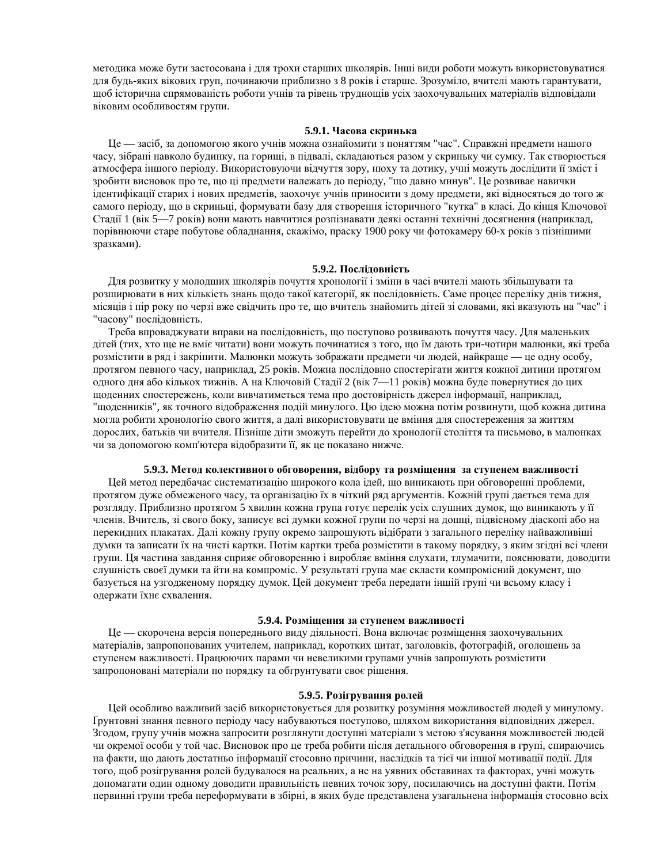методика може бути застосована і для трохи старших школярів. Інші види роботи можуть використовуватися для будь-яких вікових груп, починаючи приблизно з 8 років і старше. Зрозуміло, вчителі мають гарантувати, щоб історична спрямованість роботи учнів та рівень труднощів усіх заохочувальних матеріалів відповідали віковим особливостям групи.

#### 5.9.1. Часова скринька

Це — засіб, за допомогою якого учнів можна ознайомити з поняттям "час". Справжні предмети нашого часу, зібрані навколо будинку, на горищі, в підвалі, складаються разом у скриньку чи сумку. Так створюється атмосфера іншого періоду. Використовуючи відчуття зору, нюху та дотику, учні можуть дослідити її зміст і зробити висновок про те, що ці предмети належать до періоду, "що давно минув". Це розвиває навички ідентифікації старих і нових предметів, заохочує учнів приносити з дому предмети, які відносяться до того ж самого періоду, що в скриньці, формувати базу для створення історичного "кутка" в класі. До кінця Ключової Сталії 1 (вік 5—7 років) вони мають навчитися розпізнавати леякі останні технічні лосягнення (наприклал, порівнюючи старе побутове обладнання, скажімо, праску 1900 року чи фотокамеру 60-х років з пізнішими зразками).

## $5.9.2.$  Посліловність

Для розвитку у молодших школярів почуття хронології і зміни в часі вчителі мають збільшувати та розширювати в них кількість знань щодо такої категорії, як послідовність. Саме процес переліку днів тижня, місяців і пір року по черзі вже свідчить про те, що вчитель знайомить дітей зі словами, які вказують на "час" і "часову" послідовність.

Треба впроваджувати вправи на послідовність, що поступово розвивають почуття часу. Для маленьких дітей (тих, хто ще не вміє читати) вони можуть починатися з того, що їм дають три-чотири малюнки, які треба розмістити в ряд і закріпити. Малюнки можуть зображати предмети чи людей, найкраще — це одну особу, протягом певного часу, наприклад, 25 років. Можна послідовно спостерігати життя кожної дитини протягом одного дня або кількох тижнів. А на Ключовій Стадії 2 (вік 7—11 років) можна буде повернутися до цих щоденних спостережень, коли вивчатиметься тема про достовірність джерел інформації, наприклад, "щоденників", як точного відображення подій минулого. Цю ідею можна потім розвинути, щоб кожна дитина могла робити хронологію свого життя, а далі використовувати це вміння для спостереження за життям дорослих, батьків чи вчителя. Пізніше діти зможуть перейти до хронології століття та письмово, в малюнках чи за допомогою комп'ютера відобразити її, як це показано нижче.

#### 5.9.3. Метод колективного обговорення, відбору та розміщення за ступенем важливості

Цей метод передбачає систематизацію широкого кола ідей, що виникають при обговоренні проблеми, протягом дуже обмеженого часу, та організацію їх в чіткий ряд аргументів. Кожній групі дається тема для розгляду. Приблизно протягом 5 хвилин кожна група готує перелік усіх слушних думок, що виникають у її членів. Вчитель, зі свого боку, записує всі думки кожної групи по черзі на дошці, підвісному діаскопі або на перекидних плакатах. Далі кожну групу окремо запрошують відібрати з загального переліку найважливіші думки та записати їх на чисті картки. Потім картки треба розмістити в такому порядку, з яким згідні всі члени групи. Ця частина завдання сприяє обговоренню і виробляє вміння слухати, тлумачити, пояснювати, доводити слушність своєї думки та йти на компроміс. У результаті група має скласти компромісний документ, що базується на узгодженому порядку думок. Цей документ треба передати іншій групі чи всьому класу і одержати їхнє схвалення.

#### 5.9.4. Розміщення за ступенем важливості

Це — скорочена версія попереднього виду діяльності. Вона включає розміщення заохочувальних матеріалів, запропонованих учителем, наприклад, коротких цитат, заголовків, фотографій, оголошень за ступенем важливості. Працюючих парами чи невеликими групами учнів запрошують розмістити запропоновані матеріали по порядку та обгрунтувати своє рішення.

#### 5.9.5. Розігрування ролей

Цей особливо важливий засіб використовується для розвитку розуміння можливостей людей у минулому. Грунтовні знання певного періоду часу набуваються поступово, шляхом використання відповідних джерел. Згодом, групу учнів можна запросити розглянути доступні матеріали з метою з'ясування можливостей людей чи окремої особи у тойчас. Висновок про не треба робити після детального обговорення в групі, спираючись на факти, що дають достатньо інформації стосовно причини, наслідків та тієї чи іншої мотивації події. Для того, щоб розігрування ролей будувалося на реальних, а не на уявних обставинах та факторах, учні можуть допомагати один одному доводити правильність певних точок зору, посилаючись на доступні факти. Потім первинні групи треба переформувати в збірні, в яких буде представлена узагальнена інформація стосовно всіх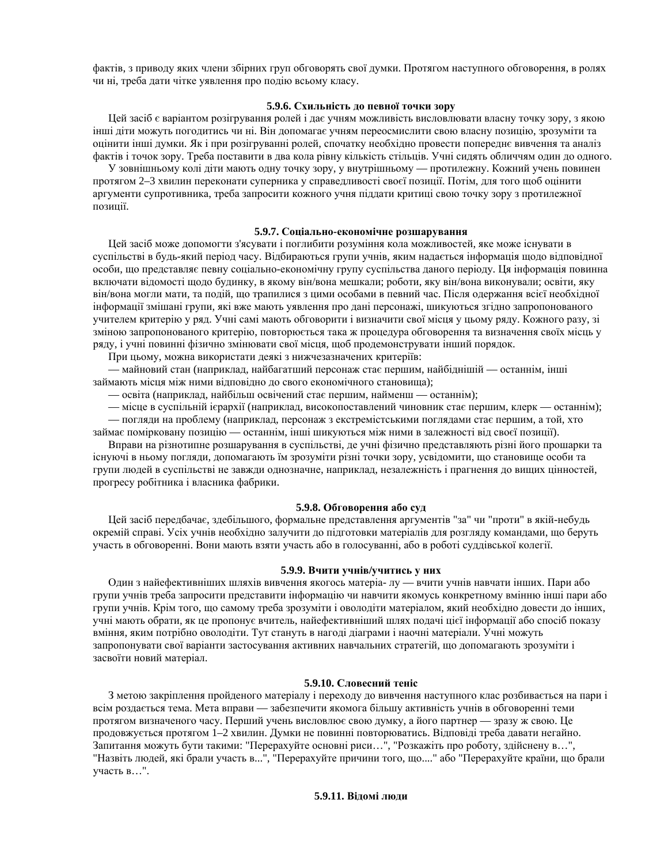фактів, з приводу яких члени збірних груп обговорять свої думки. Протягом наступного обговорення, в ролях чи ні, треба дати чітке уявлення про подію всьому класу.

## 5.9.6. Схильність до певної точки зору

Цей засіб є варіантом розігрування ролей і дає учням можливість висловлювати власну точку зору, з якою інші діти можуть погодитись чи ні. Він допомагає учням переосмислити свою власну позицію, зрозуміти та оцінити інші думки. Як і при розігруванні ролей, спочатку необхідно провести попереднє вивчення та аналіз фактів і точок зору. Треба поставити в два кола рівну кількість стільців. Учні сидять обличчям один до одного.

У зовнішньому колі діти мають одну точку зору, у внутрішньому — протилежну. Кожний учень повинен протягом 2–3 хвилин переконати суперника у справедливості своєї позиції. Потім, для того щоб оцінити аргументи супротивника, треба запросити кожного учня піддати критиці свою точку зору з протилежної позинії.

## 5.9.7. Соціально-економічне розшарування

Цей засіб може допомогти з'ясувати і поглибити розуміння кола можливостей, яке може існувати в суспільстві в будь-який період часу. Відбираються групи учнів, яким надається інформація щодо відповідної особи, що представляє певну соціально-економічну групу суспільства даного періоду. Ця інформація повинна включати відомості щодо будинку, в якому він/вона мешкали; роботи, яку він/вона виконували; освіти, яку він/вона могли мати, та подій, що трапилися з цими особами в певний час. Після одержання всієї необхідної інформації змішані групи, які вже мають уявлення про дані персонажі, шикуються згідно запропонованого учителем критерію у ряд. Учні самі мають обговорити і визначити свої місця у цьому ряду. Кожного разу, зі зміною запропонованого критерію, повторюється така ж процедура обговорення та визначення своїх місць у ряду, і учні повинні фізично змінювати свої місця, щоб продемонструвати інший порядок.

При цьому, можна використати деякі з нижчезазначених критеріїв:

— майновий стан (наприклад, найбагатший персонаж стає першим, найбіднішій — останнім, інші займають місця між ними відповідно до свого економічного становища);

— освіта (наприклад, найбільш освічений стає першим, найменш — останнім);

— місце в суспільній ієрархії (наприклад, високопоставлений чиновник стає першим, клерк — останнім);

— погляди на проблему (наприклад, персонаж з екстремістськими поглядами стає першим, а той, хто займає помірковану позицію — останнім, інші шикуються між ними в залежності від своєї позиції).

Вправи на різнотипне розшарування в суспільстві, де учні фізично представляють різні його прошарки та існуючі в ньому погляди, допомагають їм зрозуміти різні точки зору, усвідомити, що становище особи та групи людей в суспільстві не завжди однозначне, наприклад, незалежність і прагнення до вищих цінностей, прогресу робітника і власника фабрики.

#### 5.9.8. Обговорення або суд

Цей засіб передбачає, здебільшого, формальне представлення аргументів "за" чи "проти" в якій-небудь окремій справі. Усіх учнів необхідно залучити до підготовки матеріалів для розгляду командами, що беруть участь в обговоренні. Вони мають взяти участь або в голосуванні, або в роботі суддівської колегії.

#### 5.9.9. Вчити учнів/учитись у них

Один з найефективніших шляхів вивчення якогось матеріа- лу — вчити учнів навчати інших. Пари або групи учнів треба запросити представити інформацію чи навчити якомусь конкретному вмінню інші пари або групи учнів. Крім того, що самому треба зрозуміти і оволодіти матеріалом, який необхідно довести до інших, учні мають обрати, як це пропонує вчитель, найефективніший шлях подачі цієї інформації або спосіб показу вміння, яким потрібно оволодіти. Тут стануть в нагоді діаграми і наочні матеріали. Учні можуть запропонувати свої варіанти застосування активних навчальних стратегій, що допомагають зрозуміти і засвоїти новий матеріал.

## $5.9.10.$  Словесний теніс

З метою закріплення пройденого матеріалу і переходу до вивчення наступного клас розбивається на пари і всім роздається тема. Мета вправи — забезпечити якомога більшу активність учнів в обговоренні теми протягом визначеного часу. Перший учень висловлює свою думку, а його партнер - зразу ж свою. Це продовжується протягом 1–2 хвилин. Думки не повинні повторюватись. Відповіді треба давати негайно. Запитання можуть бути такими: "Перерахуйте основні риси...", "Розкажіть про роботу, здійснену в...", "Назвіть людей, які брали участь в...", "Перерахуйте причини того, що...." або "Перерахуйте країни, що брали участь в...".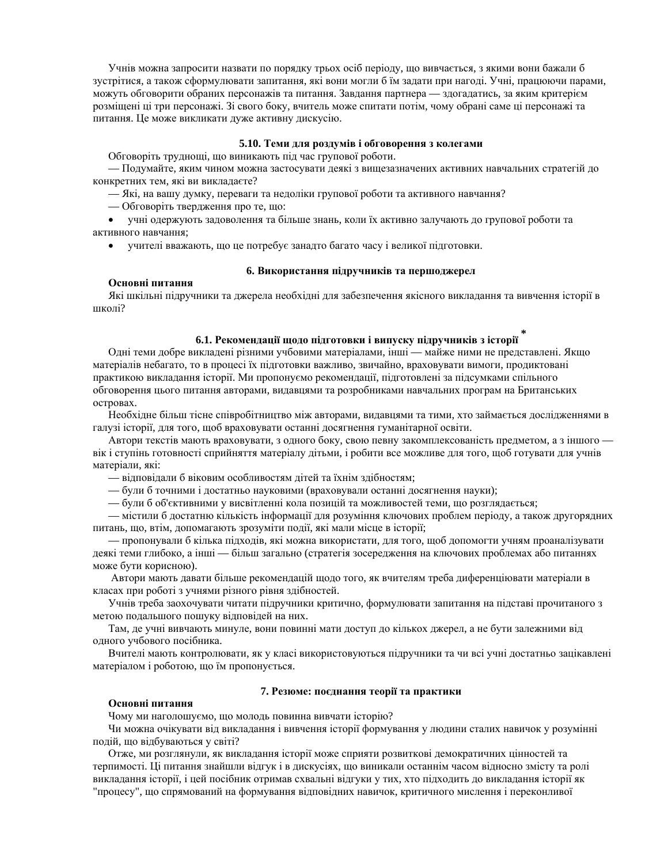Учнів можна запросити назвати по порядку трьох осіб періоду, що вивчається, з якими вони бажали б зустрітися, а також сформулювати запитання, які вони могли б їм задати при нагоді. Учні, працюючи парами, можуть обговорити обраних персонажів та питання. Завдання партнера — здогадатись, за яким критерієм розміщені ці три персонажі. Зі свого боку, вчитель може спитати потім, чому обрані саме ці персонажі та питання. Це може викликати дуже активну дискусію.

## 5.10. Теми для роздумів і обговорення з колегами

Обговоріть труднощі, що виникають під час групової роботи.

— Подумайте, яким чином можна застосувати деякі з вищезазначених активних навчальних стратегій до конкретних тем, які ви викладаєте?

— Які, на вашу думку, переваги та недоліки групової роботи та активного навчання?

— Обговоріть твердження про те, що:

• учні одержують задоволення та більше знань, коли їх активно залучають до групової роботи та активного навчання;

• учителі вважають, що це потребує занадто багато часу і великої підготовки.

## **6. Використання підручників та першоджерел**

## Основні питання

Які шкільні підручники та джерела необхідні для забезпечення якісного викладання та вивчення історії в школі?

## **6.1. Рекомендації щодо підготовки і випуску підручників з історії**

Одні теми добре викладені різними учбовими матеріалами, інші — майже ними не представлені. Якщо матеріалів небагато, то в процесі їх підготовки важливо, звичайно, враховувати вимоги, продиктовані практикою викладання історії. Ми пропонуємо рекомендації, підготовлені за підсумками спільного обговорення цього питання авторами, видавцями та розробниками навчальних програм на Британських островах.

Необхідне більш тісне співробітництво між авторами, видавцями та тими, хто займається дослідженнями в галузі історії, для того, щоб враховувати останні досягнення гуманітарної освіти.

Автори текстів мають враховувати, з одного боку, свою певну закомплексованість предметом, а з іншого вік і ступінь готовності сприйняття матеріалу дітьми, і робити все можливе для того, щоб готувати для учнів матеріали, які:

— відповідали б віковим особливостям дітей та їхнім здібностям;

— були б точними і достатньо науковими (враховували останні досягнення науки);

— були б об'єктивними у висвітленні кола позицій та можливостей теми, що розглядається;

— містили б достатню кількість інформації для розуміння ключових проблем періоду, а також другорядних питань, що, втім, допомагають зрозуміти події, які мали місце в історії;

— пропонували б кілька підходів, які можна використати, для того, щоб допомогти учням проаналізувати деякі теми глибоко, а інші — більш загально (стратегія зосередження на ключових проблемах або питаннях може бути корисною).

Автори мають давати більше рекомендацій щодо того, як вчителям треба диференціювати матеріали в класах при роботі з учнями різного рівня здібностей.

Учнів треба заохочувати читати підручники критично, формулювати запитання на підставі прочитаного з метою подальшого пошуку відповідей на них.

Там, де учні вивчають минуле, вони повинні мати доступ до кількох джерел, а не бути залежними від одного учбового посібника.

Вчителі мають контролювати, як у класі використовуються підручники та чи всі учні достатньо зацікавлені матеріалом і роботою, що їм пропонується.

## 7. Резюме: поєднання теорії та практики

#### Основні питання

Чому ми наголошуємо, що молодь повинна вивчати історію?

Чи можна очікувати від викладання і вивчення історії формування у людини сталих навичок у розумінні подій, що відбуваються у світі?

Отже, ми розглянули, як викладання історії може сприяти розвиткові демократичних цінностей та терпимості. Ці питання знайшли відгук і в дискусіях, що виникали останнім часом відносно змісту та ролі викладання історії, і цей посібник отримав схвальні відгуки у тих, хто підходить до викладання історії як "процесу", що спрямований на формування відповідних навичок, критичного мислення і переконливої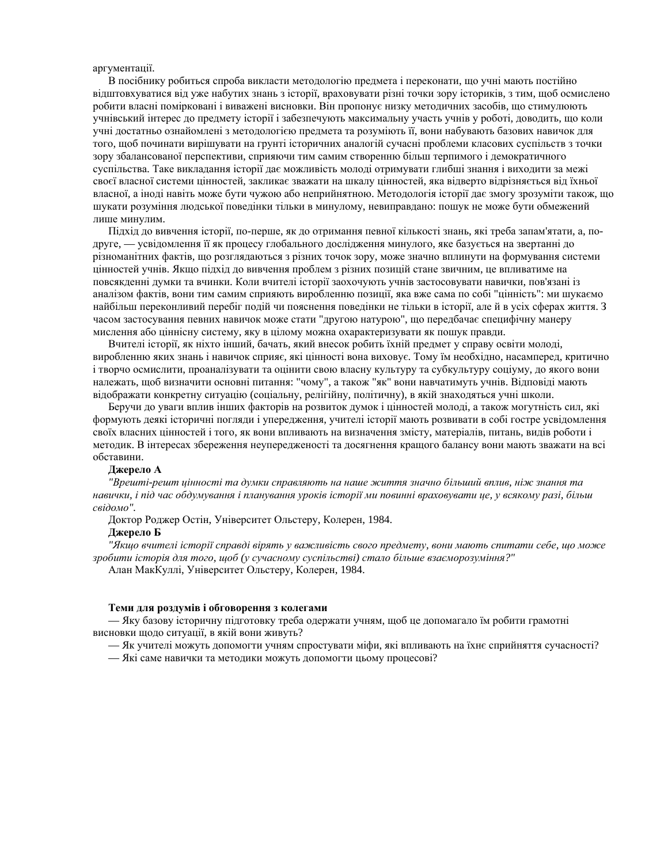#### аргументації.

В посібнику робиться спроба викласти метолологію прелмета і переконати, що учні мають постійно відштовхуватися від уже набутих знань з історії, враховувати різні точки зору істориків, з тим, щоб осмислено робити власні помірковані і виважені висновки. Він пропонує низку методичних засобів, що стимулюють учнівський інтерес до предмету історії і забезпечують максимальну участь учнів у роботі, доводить, що коли учні достатньо ознайомлені з методологією предмета та розуміють її, вони набувають базових навичок для того, щоб починати вирішувати на грунті історичних аналогій сучасні проблеми класових суспільств з точки зору збалансованої перспективи, сприяючи тим самим створенню більш терпимого і демократичного суспільства. Таке викладання історії дає можливість молоді отримувати глибші знання і виходити за межі своєї власної системи цінностей, закликає зважати на шкалу цінностей, яка відверто відрізняється від їхньої власної, а іноді навіть може бути чужою або неприйнятною. Методологія історії дає змогу зрозуміти також, що шукати розуміння людської поведінки тільки в минулому, невиправдано: пошук не може бути обмежений лише минулим.

Підхід до вивчення історії, по-перше, як до отримання певної кількості знань, які треба запам'ятати, а, подруге, — усвідомлення її як процесу глобального дослідження минулого, яке базується на звертанні до різноманітних фактів, що розглядаються з різних точок зору, може значно вплинути на формування системи цінностей учнів. Якщо підхід до вивчення проблем з різних позицій стане звичним, це впливатиме на повсякденні думки та вчинки. Коли вчителі історії заохочують учнів застосовувати навички, пов'язані із аналізом фактів, вони тим самим сприяють виробленню позиції, яка вже сама по собі "цінність": ми шукаємо найбільш переконливий перебіг подій чи пояснення поведінки не тільки в історії, але й в усіх сферах життя. З часом застосування певних навичок може стати "другою натурою", що передбачає специфічну манеру мислення або ціннісну систему, яку в цілому можна охарактеризувати як пошук правди.

Вчителі історії, як ніхто інший, бачать, який внесок робить їхній предмет у справу освіти молоді, виробленню яких знань і навичок сприяє, які цінності вона виховує. Тому їм необхідно, насамперед, критично і творчо осмислити, проаналізувати та оцінити свою власну культуру та субкультуру соціуму, до якого вони належать, щоб визначити основні питання: "чому", а також "як" вони навчатимуть учнів. Відповіді мають відображати конкретну ситуацію (соціальну, релігійну, політичну), в якій знаходяться учні школи.

Беручи до уваги вплив інших факторів на розвиток думок і цінностей молоді, а також могутність сил, які формують деякі історичні погляди і упередження, учителі історії мають розвивати в собі гостре усвідомлення своїх власних цінностей і того, як вони впливають на визначення змісту, матеріалів, питань, видів роботи і методик. В інтересах збереження неупередженості та досягнення кращого балансу вони мають зважати на всі обставини.

## Джерело А

"Врешті-решт цінності та думки справляють на наше життя значно більший вплив, ніж знання та <del>навички, *і* під час обдумування і планування уроків історії ми повинні враховувати це, у всякому разі, більш</del>  $c$ *відомо*".

Доктор Роджер Остін, Університет Ольстеру, Колерен, 1984.

## **Джерело Б**

<sup>"</sup>*Якщо вчителі історії справді вірять у важливість свого предмету, вони мають спитати себе, що може*  $3p$ обити iсторія для того, щоб (у сучасному суспільстві) стало більше взаєморозуміння?" Алан МакКуллі, Університет Ольстеру, Колерен, 1984.

## Теми для роздумів і обговорення з колегами

— Яку базову історичну підготовку треба одержати учням, щоб це допомагало їм робити грамотні висновки щодо ситуації, в якій вони живуть?

— Як учителі можуть допомогти учням спростувати міфи, які впливають на їхнє сприйняття сучасності?

— Які саме навички та методики можуть допомогти цьому процесові?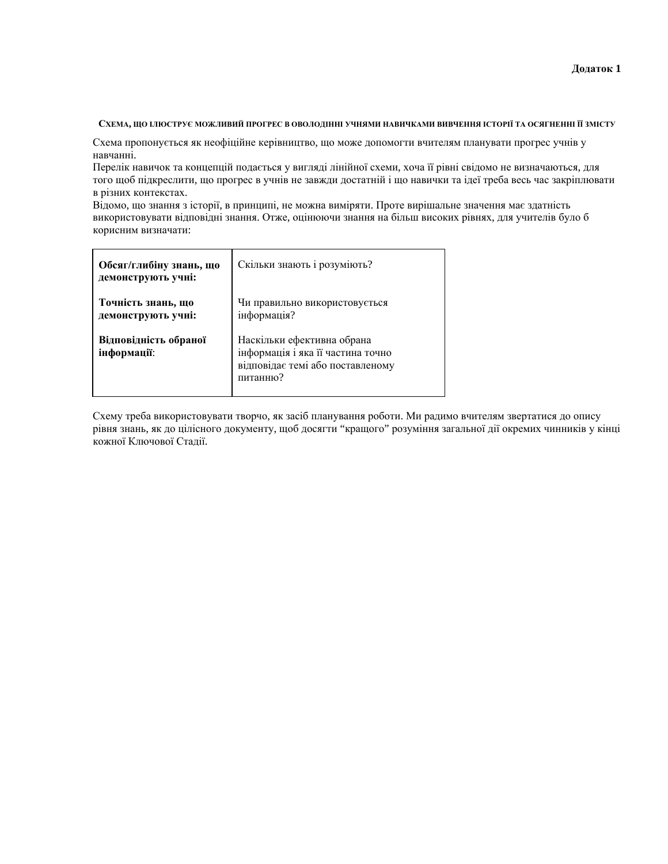## Схема, що ілюструє можливий прогрес в оволодінні учнями навичками вивчення історії та осягненні її змісту

Схема пропонується як неофіційне керівництво, що може допомогти вчителям планувати прогрес учнів у навчанні.

Перелік навичок та концепцій подається у вигляді лінійної схеми, хоча її рівні свідомо не визначаються, для того щоб підкреслити, що прогрес в учнів не завжди достатній і що навички та ідеї треба весь час закріплювати в різних контекстах.

Відомо, що знання з історії, в принципі, не можна виміряти. Проте вирішальне значення має здатність використовувати відповідні знання. Отже, оцінюючи знання на більш високих рівнях, для учителів було б корисним визначати:

| Обсяг/глибіну знань, що<br>демонструють учні: | Скільки знають і розуміють?                                                                                     |
|-----------------------------------------------|-----------------------------------------------------------------------------------------------------------------|
| Точність знань, що<br>демонструють учні:      | Чи правильно використовується<br>інформація?                                                                    |
| Відповідність обраної<br>інформації:          | Наскільки ефективна обрана<br>інформація і яка її частина точно<br>відповідає темі або поставленому<br>питанню? |

Схему треба використовувати творчо, як засіб планування роботи. Ми радимо вчителям звертатися до опису рівня знань, як до цілісного документу, щоб досягти "кращого" розуміння загальної дії окремих чинників у кінці кожної Ключової Стадії.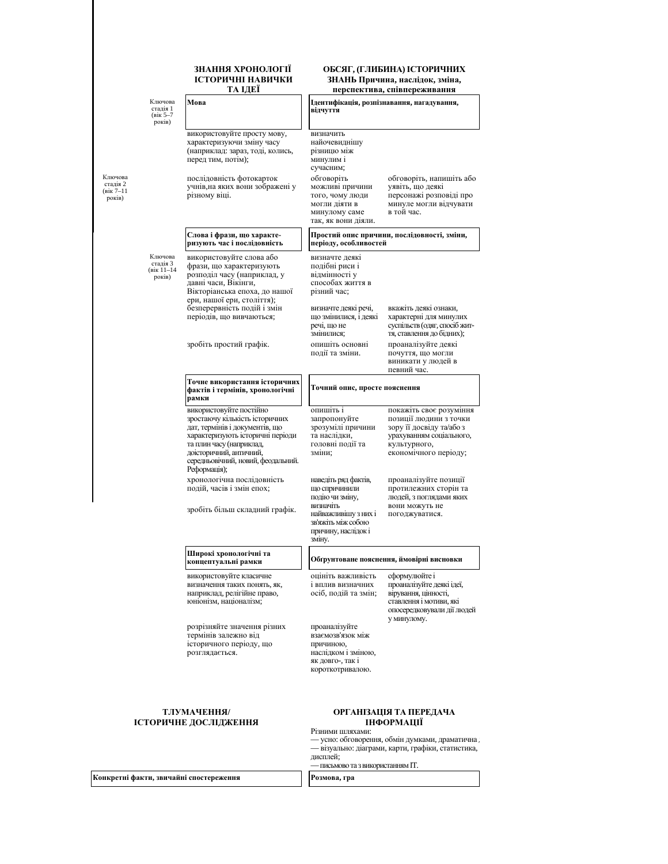#### <mark>знання хронології</mark> **ICTOРИЧНІ НАВИЧКИ** ТА ІДЕЇ

|                                               |                                                   | .                                                                                                                                                                                                                                            |                                                                                                                                                      | перепектива, енивиереживания                                                                                                                       |  |
|-----------------------------------------------|---------------------------------------------------|----------------------------------------------------------------------------------------------------------------------------------------------------------------------------------------------------------------------------------------------|------------------------------------------------------------------------------------------------------------------------------------------------------|----------------------------------------------------------------------------------------------------------------------------------------------------|--|
|                                               | Ключова<br>стадія 1<br>(вік 5-7<br>років)         | Мова                                                                                                                                                                                                                                         | відчуття                                                                                                                                             | Ідентифікація, розпізнавання, нагадування,                                                                                                         |  |
|                                               |                                                   | використовуйте просту мову,<br>характеризуючи зміну часу<br>(наприклад: зараз, тоді, колись,<br>перед тим, потім);                                                                                                                           | визначить<br>найочевиднішу<br>різницю між<br>минулим і<br>сучасним;                                                                                  |                                                                                                                                                    |  |
| Ключова<br>стадія 2<br>$(kiK) - 11$<br>років) |                                                   | послідовність фотокарток<br>учнів, на яких вони зображені у<br>різному віці.                                                                                                                                                                 | обговоріть<br>можливі причини<br>того, чому люди<br>могли діяти в<br>минулому саме<br>так, як вони діяли.                                            | обговоріть, напишіть або<br>уявіть, що деякі<br>персонажі розповіді про<br>минуле могли відчувати<br>в той час.                                    |  |
|                                               |                                                   | Слова і фрази, що характе-<br>ризують час і послідовність                                                                                                                                                                                    | періоду, особливостей                                                                                                                                | Простий опис причини, послідовності, зміни,                                                                                                        |  |
|                                               | Ключова<br>стадія 3<br>$(k)$ ik $11-14$<br>років) | використовуйте слова або<br>фрази, що характеризують<br>розподіл часу (наприклад, у<br>давні часи, Вікінги,<br>Вікторіанська епоха, до нашої<br>ери, нашої ери, століття);                                                                   | визначте деякі<br>подібні риси і<br>відмінності у<br>способах життя в<br>різний час;                                                                 |                                                                                                                                                    |  |
|                                               |                                                   | безперервність подій і змін<br>періодів, що вивчаються;                                                                                                                                                                                      | визначте деякі речі,<br>що змінилися, і деякі<br>речі, що не<br>змінилися:                                                                           | вкажіть деякі ознаки,<br>характерні для минулих<br>суспільств (одяг, спосіб жит-<br>тя, ставлення до бідних);                                      |  |
|                                               |                                                   | зробіть простий графік.                                                                                                                                                                                                                      | опишіть основні<br>події та зміни.                                                                                                                   | проаналізуйте деякі<br>почуття, що могли<br>виникати у людей в<br>певний час.                                                                      |  |
|                                               |                                                   | Точне використання історичних<br>фактів і термінів, хронологічні<br>рамки                                                                                                                                                                    | Точний опис, просте пояснення                                                                                                                        |                                                                                                                                                    |  |
|                                               |                                                   | використовуйте постійно<br>зростаючу кількість історичних<br>дат, термінів і документів, що<br>характеризують історичні періоди<br>та плин часу (наприклад,<br>доісторичний, античний,<br>середньовічний, новий, феодальний.<br>Реформація); | опишіть і<br>запропонуйте<br>зрозумілі причини<br>та наслідки,<br>головні події та<br>зміни;                                                         | покажіть своє розуміння<br>позиції людини з точки<br>зору її досвіду та/або з<br>урахуванням соціального,<br>культурного,<br>економічного періоду; |  |
|                                               |                                                   | хронологічна послідовність<br>подій, часів і змін епох;<br>зробіть більш складний графік.                                                                                                                                                    | наведіть ряд фактів,<br>що спричинили<br>подію чи зміну,<br>визначіть<br>найважливішу з них і<br>зв'яжіть між собою<br>причину, наслідок і<br>зміну. | проаналізуйте позиції<br>протилежних сторін та<br>людей, з поглядами яких<br>вони можуть не<br>погоджуватися.                                      |  |
|                                               | Широкі хронологічні та<br>концептуальні рамки     | Обгрунтоване пояснення, ймовірні висновки                                                                                                                                                                                                    |                                                                                                                                                      |                                                                                                                                                    |  |
|                                               |                                                   | використовуйте класичне<br>визначення таких понять, як,<br>наприклад, релігійне право,<br>юніонізм, націоналізм;                                                                                                                             | оцініть важливість<br>і вплив визначних<br>осіб, подій та змін;                                                                                      | сформулюйте і<br>проаналізуйте деякі ідеї,<br>вірування, цінності,<br>ставлення і мотиви, які<br>опосередковували дії людей<br>У МИНУЛОМУ.         |  |
|                                               |                                                   | розрізняйте значення різних<br>термінів залежно від<br>історичного періоду, що<br>розглядається.                                                                                                                                             | проаналізуйте<br>взаємозв'язок між<br>причиною,<br>наслідком і зміною,<br>як довго-, так і<br>короткотривалою.                                       |                                                                                                                                                    |  |
|                                               |                                                   | ТЛУМАЧЕННЯ/<br>ІСТОРИЧНЕ ДОСЛІДЖЕННЯ                                                                                                                                                                                                         | Різними шляхами:<br>дисплей;<br>- письмово та з використанням IT.                                                                                    | ОРГАНІЗАЦІЯ ТА ПЕРЕДАЧА<br>ІНФОРМАЦІЇ<br>- усно: обговорення, обмін думками, драматична<br>- візуально: діаграми, карти, графіки, статистика,      |  |

**Ʉɨɧɤɪɟɬɧɿ ɮɚɤɬɢ, ɡɜɢɱɚɣɧɿ ɫɩɨɫɬɟɪɟɠɟɧɧɹ Ɋɨɡɦɨɜɚ, ɝɪɚ**

#### **ɈȻɋəȽ, (ȽɅɂȻɂɇȺ) ȱɋɌɈɊɂɑɇɂɏ**  $3$ НАНЬ Причина, наслідок, зміна,

перспектива, співпереживання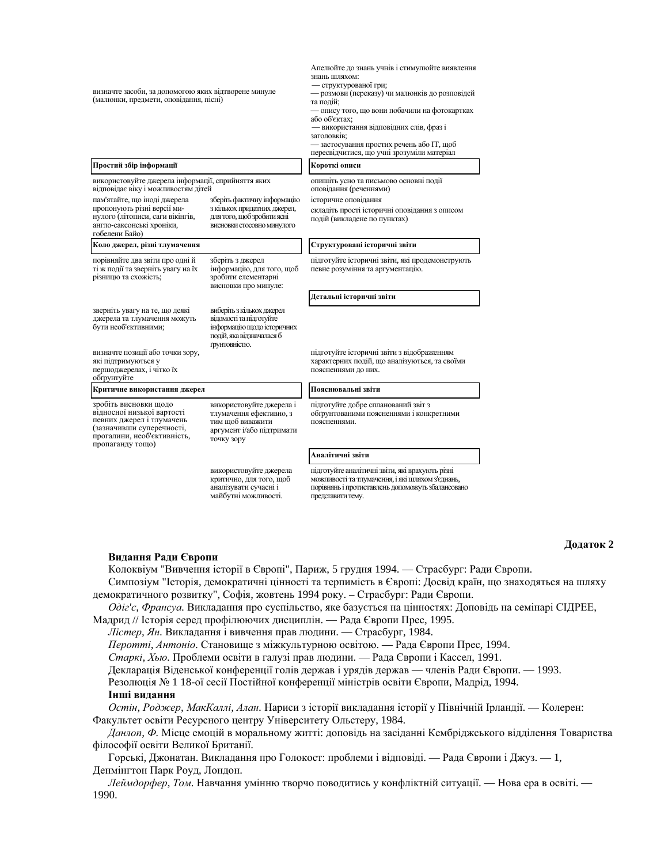| визначте засоби, за допомогою яких відтворене минуле<br>(малюнки, предмети, оповідання, пісні)                                                                   |                                                                                                                                  | Апелюйте до знань учнів і стимулюйте виявлення<br>знань шляхом:<br>– структурованої гри;<br>- розмови (переказу) чи малюнків до розповідей<br>та подій;<br>— опису того, що вони побачили на фотокартках<br>або об'єктах:<br>— використання відповідних слів, фраз і<br>заголовків;<br>– застосування простих речень або IT, щоб<br>пересвідчитися, що учні зрозуміли матеріал |
|------------------------------------------------------------------------------------------------------------------------------------------------------------------|----------------------------------------------------------------------------------------------------------------------------------|--------------------------------------------------------------------------------------------------------------------------------------------------------------------------------------------------------------------------------------------------------------------------------------------------------------------------------------------------------------------------------|
| Простий збір інформації                                                                                                                                          |                                                                                                                                  | Короткі описи                                                                                                                                                                                                                                                                                                                                                                  |
| використовуйте джерела інформації, сприйняття яких<br>відповідає віку і можливостям дітей                                                                        |                                                                                                                                  | опишіть усно та письмово основні події<br>оповідання (реченнями)                                                                                                                                                                                                                                                                                                               |
| пам'ятайте, що іноді джерела<br>пропонують різні версії ми-<br>нулого (літописи, саги вікінгів,<br>англо-саксонські хроніки,<br>гобелени Байо)                   | зберіть фактичну інформацію<br>з кількох придатних джерел,<br>для того, щоб зробити ясні<br>ВИСНОВКИ СТОСОВНО МИНУЛОГО           | історичне оповідання<br>складіть прості історичні оповідання з описом<br>подій (викладене по пунктах)                                                                                                                                                                                                                                                                          |
| Коло джерел, різні тлумачення                                                                                                                                    |                                                                                                                                  | Структуровані історичні звіти                                                                                                                                                                                                                                                                                                                                                  |
| порівняйте два звіти про одні й<br>ті ж події та зверніть увагу на їх<br>різницю та схожість;                                                                    | зберіть з джерел<br>інформацію, для того, щоб<br>зробити елементарні<br>висновки про минуле:                                     | підготуйте історичні звіти, які продемонструють<br>певне розуміння та аргументацію.                                                                                                                                                                                                                                                                                            |
|                                                                                                                                                                  |                                                                                                                                  | Детальні історичні звіти                                                                                                                                                                                                                                                                                                                                                       |
| зверніть увагу на те, що деякі<br>джерела та тлумачення можуть<br>бути необ'єктивними;                                                                           | виберіть з кількох джерел<br>відомості та підготуйте<br>інформацію щодо історичних<br>подій, яка відзначалася б<br>грунтовністю. |                                                                                                                                                                                                                                                                                                                                                                                |
| визначте позиції або точки зору,<br>які підтримуються у<br>першоджерелах, і чітко їх<br>обгрунтуйте                                                              |                                                                                                                                  | підготуйте історичні звіти з відображенням<br>характерних подій, що аналізуються, та своїми<br>поясненнями до них.                                                                                                                                                                                                                                                             |
| Критичне використання джерел                                                                                                                                     |                                                                                                                                  | Пояснювальні звіти                                                                                                                                                                                                                                                                                                                                                             |
| зробіть висновки щодо<br>відносної низької вартості<br>певних джерел і тлумачень<br>(зазначивши суперечності,<br>прогалини, необ'єктивність,<br>пропаганду тощо) | використовуйте джерела і<br>тлумачення ефективно, з<br>тим щоб виважити<br>аргумент і/або підтримати<br>точку зору               | підготуйте добре спланований звіт з<br>обгрунтованими поясненнями і конкретними<br>поясненнями.                                                                                                                                                                                                                                                                                |
|                                                                                                                                                                  |                                                                                                                                  | Аналітичні звіти                                                                                                                                                                                                                                                                                                                                                               |
|                                                                                                                                                                  | використовуйте джерела<br>критично, для того, щоб<br>аналізувати сучасні і<br>майбутні можливості.                               | підготуйте аналітичні звіти, які врахують різні<br>можливості та тлумачення, і які шляхом з'єднань,<br>порівнянь і протиставлень допоможуть збалансовано<br>представити тему.                                                                                                                                                                                                  |

#### Видання Ради Європи

 $\mu$ одаток 2

Колоквіум "Вивчення історії в Європі", Париж, 5 грудня 1994. — Страсбург: Ради Європи. Симпозіум "Історія, демократичні цінності та терпимість в Європі: Досвід країн, що знаходяться на шляху

демократичного розвитку", Софія, жовтень 1994 року. – Страсбург: Ради Європи. *Oдіг'є*, Франсуа. Викладання про суспільство, яке базується на цінностях: Доповідь на семінарі СІДРЕЕ,

- Мадрид // Історія серед профілюючих дисциплін. Рада Європи Прес, 1995.
	- *Лістер, Ян*. Викладання і вивчення прав людини. Страсбург, 1984.

*Перотті, Антоніо*. Становище з міжкультурною освітою. — Рада Європи Прес, 1994.

*Старкі, Хью.* Проблеми освіти в галузі прав людини. — Рада Європи і Кассел, 1991.

Декларація Віденської конференції голів держав і урядів держав — членів Ради Європи. — 1993.

Резолюція № 1 18-ої сесії Постійної конференції міністрів освіти Європи, Мадрід, 1994.

## **Інші видання**

Остін, Роджер, МакКаллі, Алан. Нариси з історії викладання історії у Північній Ірландії. — Колерен: Факультет освіти Ресурсного центру Університету Ольстеру, 1984.

Данлоп, Ф. Місце емоцій в моральному житті: доповідь на засіданні Кембріджського відділення Товариства філософії освіти Великої Британії.

Горські, Джонатан. Викладання про Голокост: проблеми і відповіді. — Рада Європи і Джуз. — 1, Денмінгтон Парк Роуд, Лондон.

*Леймдорфер, Том.* Навчання умінню творчо поводитись у конфліктній ситуації. — Нова ера в освіті. — 1990.